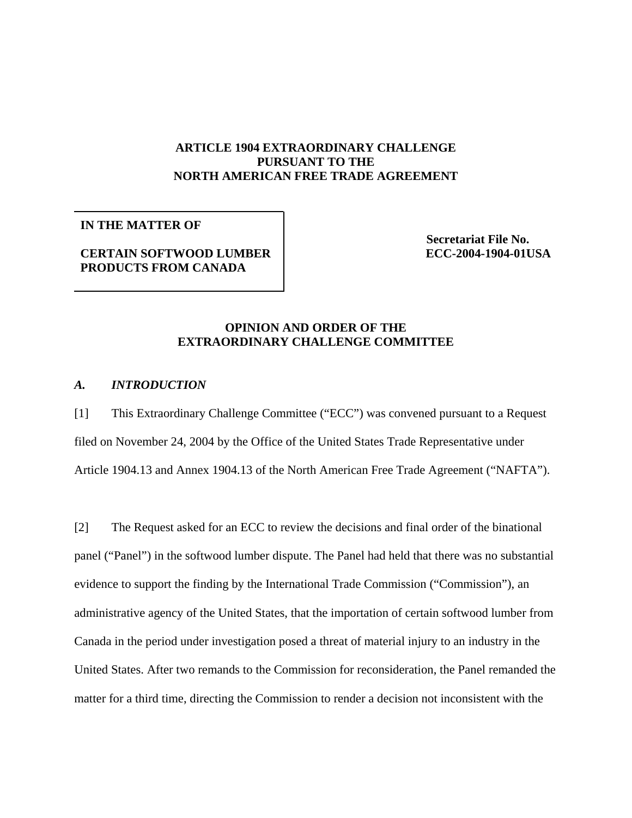# **ARTICLE 1904 EXTRAORDINARY CHALLENGE PURSUANT TO THE NORTH AMERICAN FREE TRADE AGREEMENT**

## **IN THE MATTER OF**

# **CERTAIN SOFTWOOD LUMBER PRODUCTS FROM CANADA**

**Secretariat File No. ECC-2004-1904-01USA**

# **OPINION AND ORDER OF THE EXTRAORDINARY CHALLENGE COMMITTEE**

#### *A. INTRODUCTION*

[1] This Extraordinary Challenge Committee ("ECC") was convened pursuant to a Request filed on November 24, 2004 by the Office of the United States Trade Representative under Article 1904.13 and Annex 1904.13 of the North American Free Trade Agreement ("NAFTA").

[2] The Request asked for an ECC to review the decisions and final order of the binational panel ("Panel") in the softwood lumber dispute. The Panel had held that there was no substantial evidence to support the finding by the International Trade Commission ("Commission"), an administrative agency of the United States, that the importation of certain softwood lumber from Canada in the period under investigation posed a threat of material injury to an industry in the United States. After two remands to the Commission for reconsideration, the Panel remanded the matter for a third time, directing the Commission to render a decision not inconsistent with the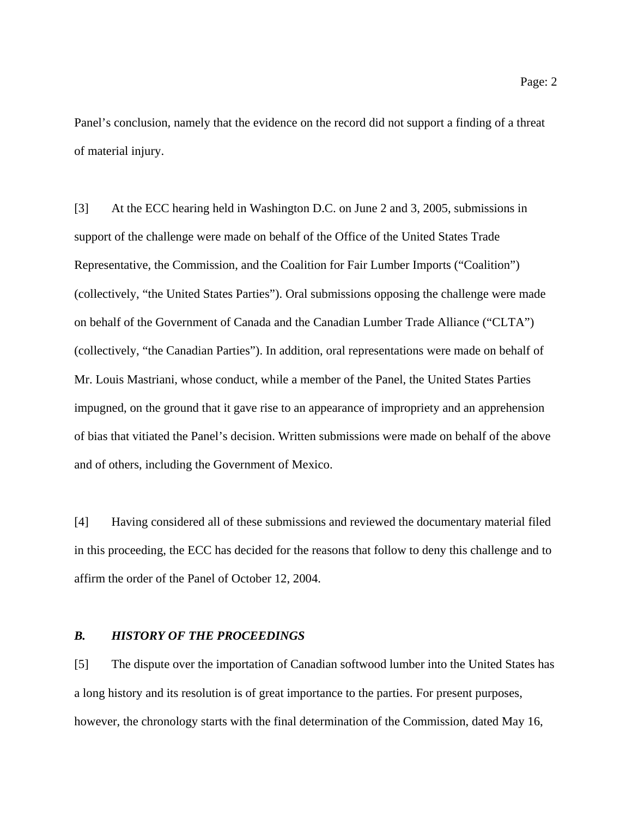Panel's conclusion, namely that the evidence on the record did not support a finding of a threat of material injury.

[3] At the ECC hearing held in Washington D.C. on June 2 and 3, 2005, submissions in support of the challenge were made on behalf of the Office of the United States Trade Representative, the Commission, and the Coalition for Fair Lumber Imports ("Coalition") (collectively, "the United States Parties"). Oral submissions opposing the challenge were made on behalf of the Government of Canada and the Canadian Lumber Trade Alliance ("CLTA") (collectively, "the Canadian Parties"). In addition, oral representations were made on behalf of Mr. Louis Mastriani, whose conduct, while a member of the Panel, the United States Parties impugned, on the ground that it gave rise to an appearance of impropriety and an apprehension of bias that vitiated the Panel's decision. Written submissions were made on behalf of the above and of others, including the Government of Mexico.

[4] Having considered all of these submissions and reviewed the documentary material filed in this proceeding, the ECC has decided for the reasons that follow to deny this challenge and to affirm the order of the Panel of October 12, 2004.

#### *B. HISTORY OF THE PROCEEDINGS*

[5] The dispute over the importation of Canadian softwood lumber into the United States has a long history and its resolution is of great importance to the parties. For present purposes, however, the chronology starts with the final determination of the Commission, dated May 16,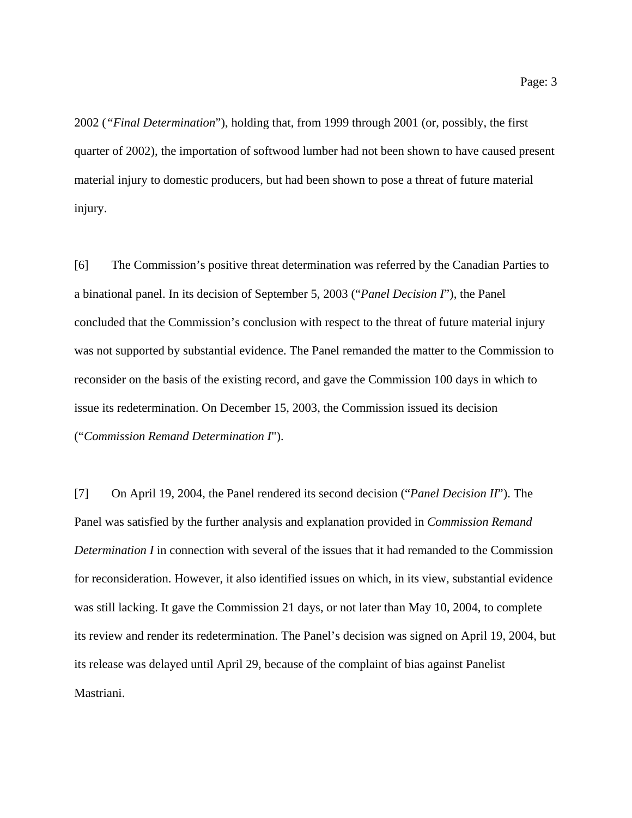2002 (*"Final Determination*"), holding that, from 1999 through 2001 (or, possibly, the first quarter of 2002), the importation of softwood lumber had not been shown to have caused present material injury to domestic producers, but had been shown to pose a threat of future material injury.

[6] The Commission's positive threat determination was referred by the Canadian Parties to a binational panel. In its decision of September 5, 2003 ("*Panel Decision I*"), the Panel concluded that the Commission's conclusion with respect to the threat of future material injury was not supported by substantial evidence. The Panel remanded the matter to the Commission to reconsider on the basis of the existing record, and gave the Commission 100 days in which to issue its redetermination. On December 15, 2003, the Commission issued its decision ("*Commission Remand Determination I*").

[7] On April 19, 2004, the Panel rendered its second decision ("*Panel Decision II*"). The Panel was satisfied by the further analysis and explanation provided in *Commission Remand Determination I* in connection with several of the issues that it had remanded to the Commission for reconsideration. However, it also identified issues on which, in its view, substantial evidence was still lacking. It gave the Commission 21 days, or not later than May 10, 2004, to complete its review and render its redetermination. The Panel's decision was signed on April 19, 2004, but its release was delayed until April 29, because of the complaint of bias against Panelist Mastriani.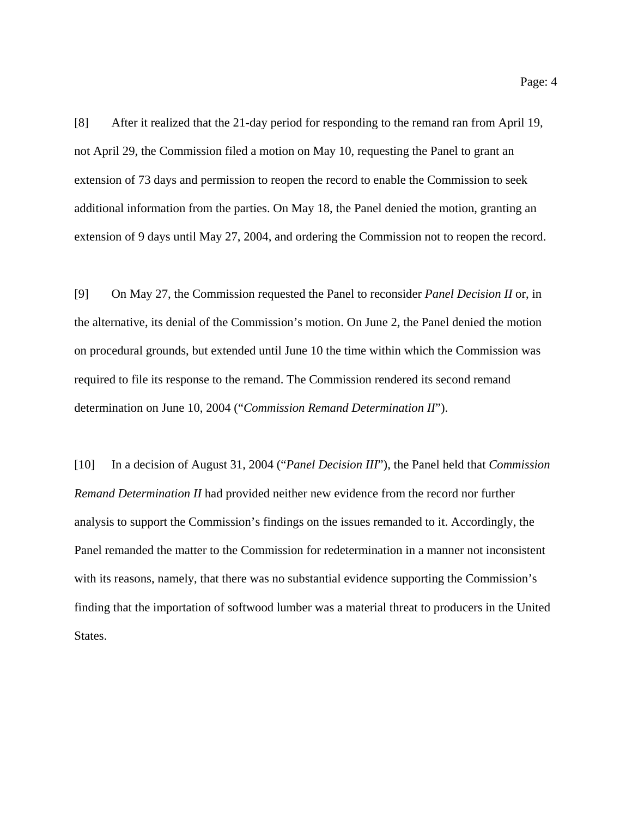[8] After it realized that the 21-day period for responding to the remand ran from April 19, not April 29, the Commission filed a motion on May 10, requesting the Panel to grant an extension of 73 days and permission to reopen the record to enable the Commission to seek additional information from the parties. On May 18, the Panel denied the motion, granting an extension of 9 days until May 27, 2004, and ordering the Commission not to reopen the record.

[9] On May 27, the Commission requested the Panel to reconsider *Panel Decision II* or, in the alternative, its denial of the Commission's motion. On June 2, the Panel denied the motion on procedural grounds, but extended until June 10 the time within which the Commission was required to file its response to the remand. The Commission rendered its second remand determination on June 10, 2004 ("*Commission Remand Determination II*").

[10] In a decision of August 31, 2004 ("*Panel Decision III*"), the Panel held that *Commission Remand Determination II* had provided neither new evidence from the record nor further analysis to support the Commission's findings on the issues remanded to it. Accordingly, the Panel remanded the matter to the Commission for redetermination in a manner not inconsistent with its reasons, namely, that there was no substantial evidence supporting the Commission's finding that the importation of softwood lumber was a material threat to producers in the United States.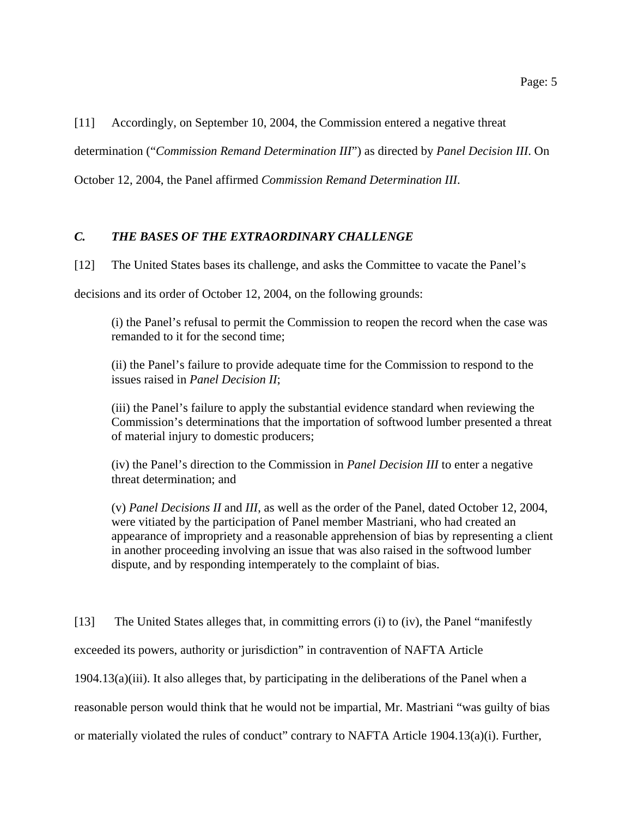[11] Accordingly, on September 10, 2004, the Commission entered a negative threat

determination ("*Commission Remand Determination III*") as directed by *Panel Decision III*. On

October 12, 2004, the Panel affirmed *Commission Remand Determination III*.

# *C. THE BASES OF THE EXTRAORDINARY CHALLENGE*

[12] The United States bases its challenge, and asks the Committee to vacate the Panel's

decisions and its order of October 12, 2004, on the following grounds:

(i) the Panel's refusal to permit the Commission to reopen the record when the case was remanded to it for the second time;

(ii) the Panel's failure to provide adequate time for the Commission to respond to the issues raised in *Panel Decision II*;

(iii) the Panel's failure to apply the substantial evidence standard when reviewing the Commission's determinations that the importation of softwood lumber presented a threat of material injury to domestic producers;

(iv) the Panel's direction to the Commission in *Panel Decision III* to enter a negative threat determination; and

(v) *Panel Decisions II* and *III*, as well as the order of the Panel, dated October 12, 2004, were vitiated by the participation of Panel member Mastriani, who had created an appearance of impropriety and a reasonable apprehension of bias by representing a client in another proceeding involving an issue that was also raised in the softwood lumber dispute, and by responding intemperately to the complaint of bias.

[13] The United States alleges that, in committing errors (i) to (iv), the Panel "manifestly exceeded its powers, authority or jurisdiction" in contravention of NAFTA Article  $1904.13(a)(iii)$ . It also alleges that, by participating in the deliberations of the Panel when a reasonable person would think that he would not be impartial, Mr. Mastriani "was guilty of bias or materially violated the rules of conduct" contrary to NAFTA Article 1904.13(a)(i). Further,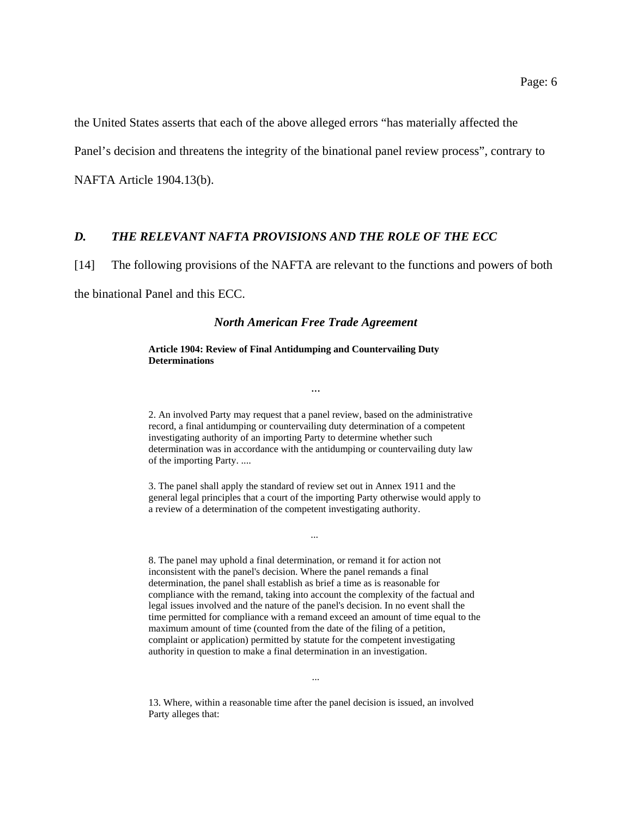the United States asserts that each of the above alleged errors "has materially affected the

Panel's decision and threatens the integrity of the binational panel review process", contrary to

NAFTA Article 1904.13(b).

## *D. THE RELEVANT NAFTA PROVISIONS AND THE ROLE OF THE ECC*

[14] The following provisions of the NAFTA are relevant to the functions and powers of both

the binational Panel and this ECC.

#### *North American Free Trade Agreement*

#### **Article 1904: Review of Final Antidumping and Countervailing Duty Determinations**

2. An involved Party may request that a panel review, based on the administrative record, a final antidumping or countervailing duty determination of a competent investigating authority of an importing Party to determine whether such determination was in accordance with the antidumping or countervailing duty law of the importing Party. ....

...

3. The panel shall apply the standard of review set out in Annex 1911 and the general legal principles that a court of the importing Party otherwise would apply to a review of a determination of the competent investigating authority.

...

8. The panel may uphold a final determination, or remand it for action not inconsistent with the panel's decision. Where the panel remands a final determination, the panel shall establish as brief a time as is reasonable for compliance with the remand, taking into account the complexity of the factual and legal issues involved and the nature of the panel's decision. In no event shall the time permitted for compliance with a remand exceed an amount of time equal to the maximum amount of time (counted from the date of the filing of a petition, complaint or application) permitted by statute for the competent investigating authority in question to make a final determination in an investigation.

13. Where, within a reasonable time after the panel decision is issued, an involved Party alleges that:

...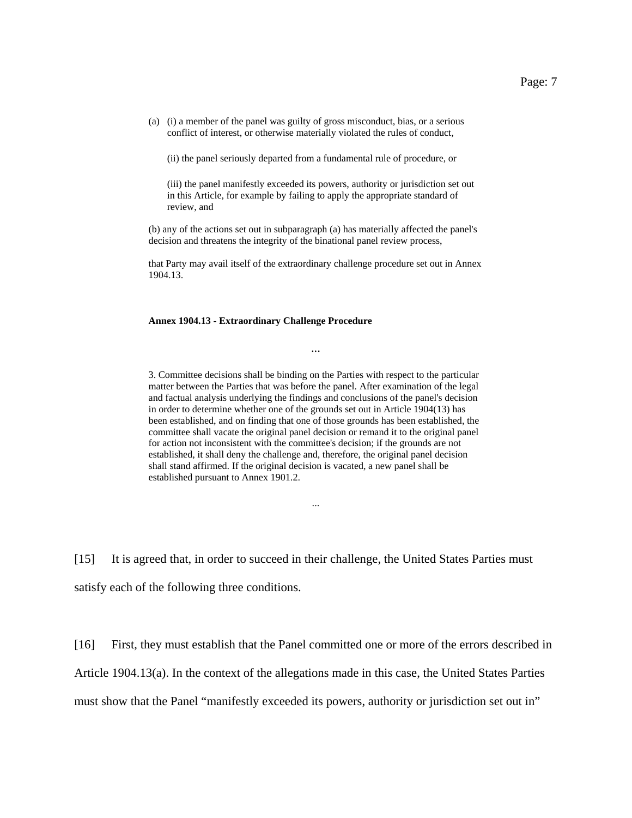(a) (i) a member of the panel was guilty of gross misconduct, bias, or a serious conflict of interest, or otherwise materially violated the rules of conduct,

(ii) the panel seriously departed from a fundamental rule of procedure, or

(iii) the panel manifestly exceeded its powers, authority or jurisdiction set out in this Article, for example by failing to apply the appropriate standard of review, and

(b) any of the actions set out in subparagraph (a) has materially affected the panel's decision and threatens the integrity of the binational panel review process,

that Party may avail itself of the extraordinary challenge procedure set out in Annex 1904.13.

...

#### **Annex 1904.13 - Extraordinary Challenge Procedure**

3. Committee decisions shall be binding on the Parties with respect to the particular matter between the Parties that was before the panel. After examination of the legal and factual analysis underlying the findings and conclusions of the panel's decision in order to determine whether one of the grounds set out in Article 1904(13) has been established, and on finding that one of those grounds has been established, the committee shall vacate the original panel decision or remand it to the original panel for action not inconsistent with the committee's decision; if the grounds are not established, it shall deny the challenge and, therefore, the original panel decision shall stand affirmed. If the original decision is vacated, a new panel shall be established pursuant to Annex 1901.2.

...

[15] It is agreed that, in order to succeed in their challenge, the United States Parties must satisfy each of the following three conditions.

[16] First, they must establish that the Panel committed one or more of the errors described in

Article 1904.13(a). In the context of the allegations made in this case, the United States Parties

must show that the Panel "manifestly exceeded its powers, authority or jurisdiction set out in"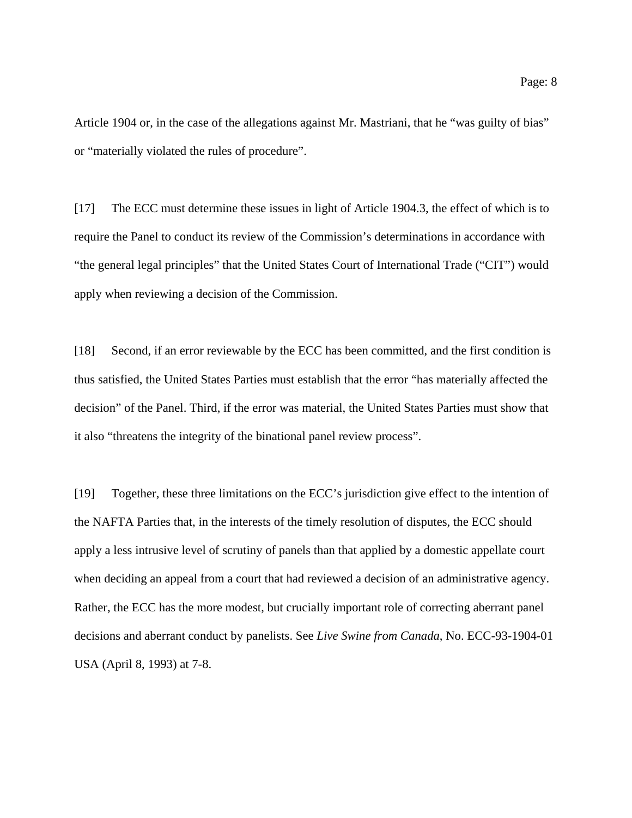Article 1904 or, in the case of the allegations against Mr. Mastriani, that he "was guilty of bias" or "materially violated the rules of procedure".

[17] The ECC must determine these issues in light of Article 1904.3, the effect of which is to require the Panel to conduct its review of the Commission's determinations in accordance with "the general legal principles" that the United States Court of International Trade ("CIT") would apply when reviewing a decision of the Commission.

[18] Second, if an error reviewable by the ECC has been committed, and the first condition is thus satisfied, the United States Parties must establish that the error "has materially affected the decision" of the Panel. Third, if the error was material, the United States Parties must show that it also "threatens the integrity of the binational panel review process".

[19] Together, these three limitations on the ECC's jurisdiction give effect to the intention of the NAFTA Parties that, in the interests of the timely resolution of disputes, the ECC should apply a less intrusive level of scrutiny of panels than that applied by a domestic appellate court when deciding an appeal from a court that had reviewed a decision of an administrative agency. Rather, the ECC has the more modest, but crucially important role of correcting aberrant panel decisions and aberrant conduct by panelists. See *Live Swine from Canada*, No. ECC-93-1904-01 USA (April 8, 1993) at 7-8.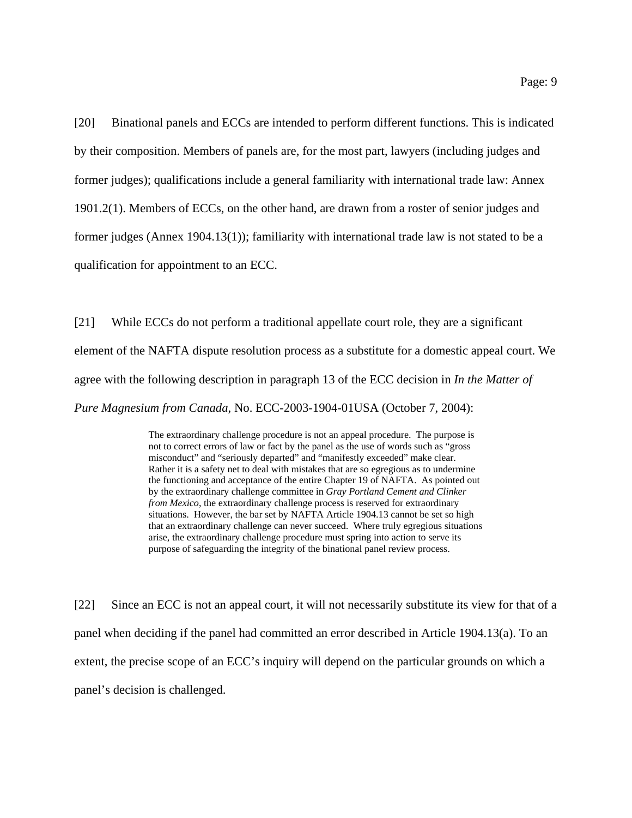[20] Binational panels and ECCs are intended to perform different functions. This is indicated by their composition. Members of panels are, for the most part, lawyers (including judges and former judges); qualifications include a general familiarity with international trade law: Annex 1901.2(1). Members of ECCs, on the other hand, are drawn from a roster of senior judges and former judges (Annex 1904.13(1)); familiarity with international trade law is not stated to be a qualification for appointment to an ECC.

[21] While ECCs do not perform a traditional appellate court role, they are a significant element of the NAFTA dispute resolution process as a substitute for a domestic appeal court. We agree with the following description in paragraph 13 of the ECC decision in *In the Matter of Pure Magnesium from Canada*, No. ECC-2003-1904-01USA (October 7, 2004):

> The extraordinary challenge procedure is not an appeal procedure. The purpose is not to correct errors of law or fact by the panel as the use of words such as "gross misconduct" and "seriously departed" and "manifestly exceeded" make clear. Rather it is a safety net to deal with mistakes that are so egregious as to undermine the functioning and acceptance of the entire Chapter 19 of NAFTA. As pointed out by the extraordinary challenge committee in *Gray Portland Cement and Clinker from Mexico*, the extraordinary challenge process is reserved for extraordinary situations. However, the bar set by NAFTA Article 1904.13 cannot be set so high that an extraordinary challenge can never succeed. Where truly egregious situations arise, the extraordinary challenge procedure must spring into action to serve its purpose of safeguarding the integrity of the binational panel review process.

[22] Since an ECC is not an appeal court, it will not necessarily substitute its view for that of a panel when deciding if the panel had committed an error described in Article 1904.13(a). To an extent, the precise scope of an ECC's inquiry will depend on the particular grounds on which a panel's decision is challenged.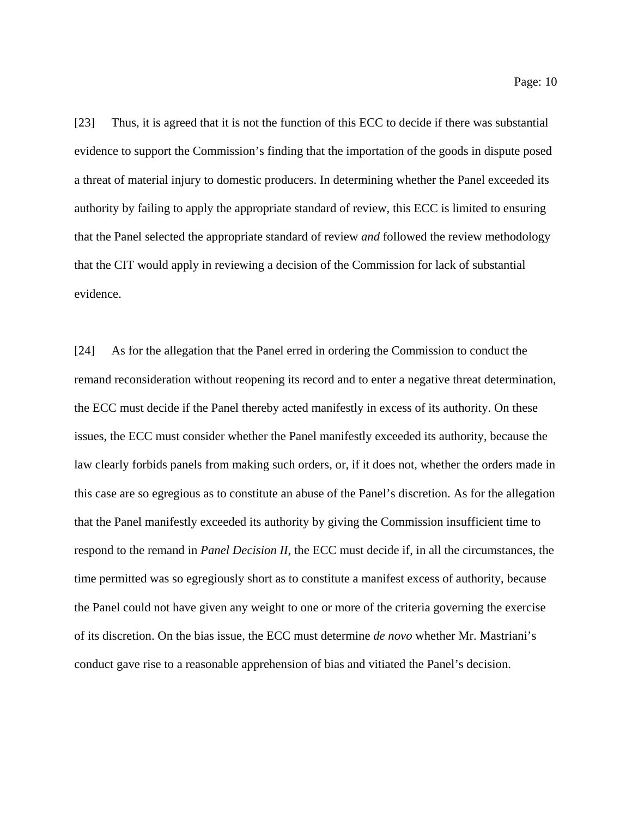[23] Thus, it is agreed that it is not the function of this ECC to decide if there was substantial evidence to support the Commission's finding that the importation of the goods in dispute posed a threat of material injury to domestic producers. In determining whether the Panel exceeded its authority by failing to apply the appropriate standard of review, this ECC is limited to ensuring that the Panel selected the appropriate standard of review *and* followed the review methodology that the CIT would apply in reviewing a decision of the Commission for lack of substantial evidence.

[24] As for the allegation that the Panel erred in ordering the Commission to conduct the remand reconsideration without reopening its record and to enter a negative threat determination, the ECC must decide if the Panel thereby acted manifestly in excess of its authority. On these issues, the ECC must consider whether the Panel manifestly exceeded its authority, because the law clearly forbids panels from making such orders, or, if it does not, whether the orders made in this case are so egregious as to constitute an abuse of the Panel's discretion. As for the allegation that the Panel manifestly exceeded its authority by giving the Commission insufficient time to respond to the remand in *Panel Decision II*, the ECC must decide if, in all the circumstances, the time permitted was so egregiously short as to constitute a manifest excess of authority, because the Panel could not have given any weight to one or more of the criteria governing the exercise of its discretion. On the bias issue, the ECC must determine *de novo* whether Mr. Mastriani's conduct gave rise to a reasonable apprehension of bias and vitiated the Panel's decision.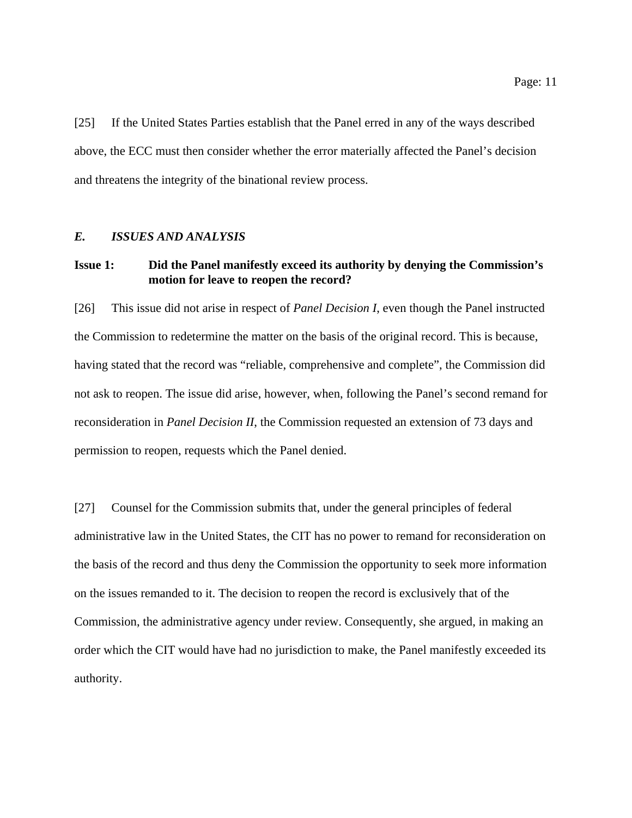[25] If the United States Parties establish that the Panel erred in any of the ways described above, the ECC must then consider whether the error materially affected the Panel's decision and threatens the integrity of the binational review process.

#### *E. ISSUES AND ANALYSIS*

# **Issue 1: Did the Panel manifestly exceed its authority by denying the Commission's motion for leave to reopen the record?**

[26] This issue did not arise in respect of *Panel Decision I*, even though the Panel instructed the Commission to redetermine the matter on the basis of the original record. This is because, having stated that the record was "reliable, comprehensive and complete", the Commission did not ask to reopen. The issue did arise, however, when, following the Panel's second remand for reconsideration in *Panel Decision II*, the Commission requested an extension of 73 days and permission to reopen, requests which the Panel denied.

[27] Counsel for the Commission submits that, under the general principles of federal administrative law in the United States, the CIT has no power to remand for reconsideration on the basis of the record and thus deny the Commission the opportunity to seek more information on the issues remanded to it. The decision to reopen the record is exclusively that of the Commission, the administrative agency under review. Consequently, she argued, in making an order which the CIT would have had no jurisdiction to make, the Panel manifestly exceeded its authority.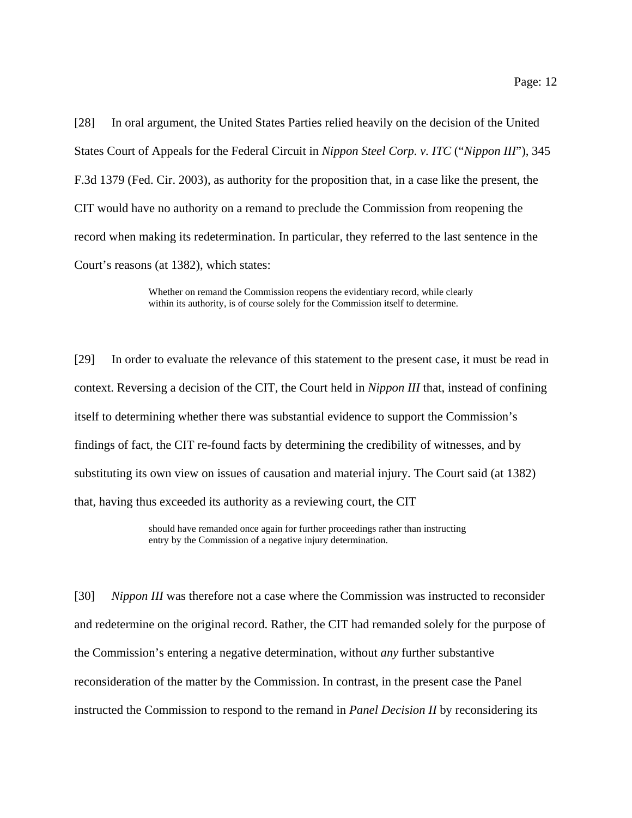[28] In oral argument, the United States Parties relied heavily on the decision of the United States Court of Appeals for the Federal Circuit in *Nippon Steel Corp. v. ITC* ("*Nippon III*"), 345 F.3d 1379 (Fed. Cir. 2003), as authority for the proposition that, in a case like the present, the CIT would have no authority on a remand to preclude the Commission from reopening the record when making its redetermination. In particular, they referred to the last sentence in the Court's reasons (at 1382), which states:

> Whether on remand the Commission reopens the evidentiary record, while clearly within its authority, is of course solely for the Commission itself to determine.

[29] In order to evaluate the relevance of this statement to the present case, it must be read in context. Reversing a decision of the CIT, the Court held in *Nippon III* that, instead of confining itself to determining whether there was substantial evidence to support the Commission's findings of fact, the CIT re-found facts by determining the credibility of witnesses, and by substituting its own view on issues of causation and material injury. The Court said (at 1382) that, having thus exceeded its authority as a reviewing court, the CIT

> should have remanded once again for further proceedings rather than instructing entry by the Commission of a negative injury determination.

[30] *Nippon III* was therefore not a case where the Commission was instructed to reconsider and redetermine on the original record. Rather, the CIT had remanded solely for the purpose of the Commission's entering a negative determination, without *any* further substantive reconsideration of the matter by the Commission. In contrast, in the present case the Panel instructed the Commission to respond to the remand in *Panel Decision II* by reconsidering its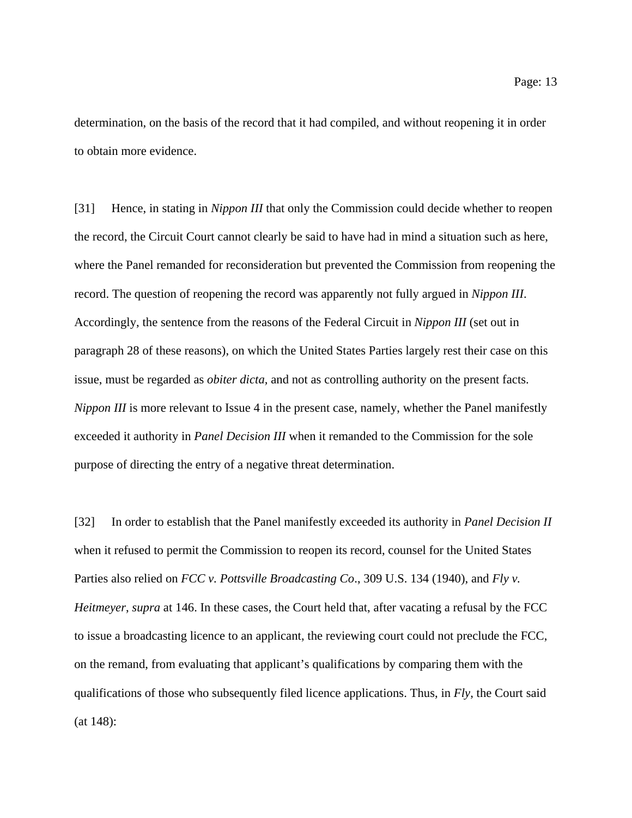determination, on the basis of the record that it had compiled, and without reopening it in order

to obtain more evidence.

[31] Hence, in stating in *Nippon III* that only the Commission could decide whether to reopen the record, the Circuit Court cannot clearly be said to have had in mind a situation such as here, where the Panel remanded for reconsideration but prevented the Commission from reopening the record. The question of reopening the record was apparently not fully argued in *Nippon III*. Accordingly, the sentence from the reasons of the Federal Circuit in *Nippon III* (set out in paragraph 28 of these reasons), on which the United States Parties largely rest their case on this issue, must be regarded as *obiter dicta,* and not as controlling authority on the present facts. *Nippon III* is more relevant to Issue 4 in the present case, namely, whether the Panel manifestly exceeded it authority in *Panel Decision III* when it remanded to the Commission for the sole purpose of directing the entry of a negative threat determination.

[32] In order to establish that the Panel manifestly exceeded its authority in *Panel Decision II* when it refused to permit the Commission to reopen its record, counsel for the United States Parties also relied on *FCC v. Pottsville Broadcasting Co*., 309 U.S. 134 (1940), and *Fly v. Heitmeyer*, *supra* at 146. In these cases, the Court held that, after vacating a refusal by the FCC to issue a broadcasting licence to an applicant, the reviewing court could not preclude the FCC, on the remand, from evaluating that applicant's qualifications by comparing them with the qualifications of those who subsequently filed licence applications. Thus, in *Fly*, the Court said (at 148):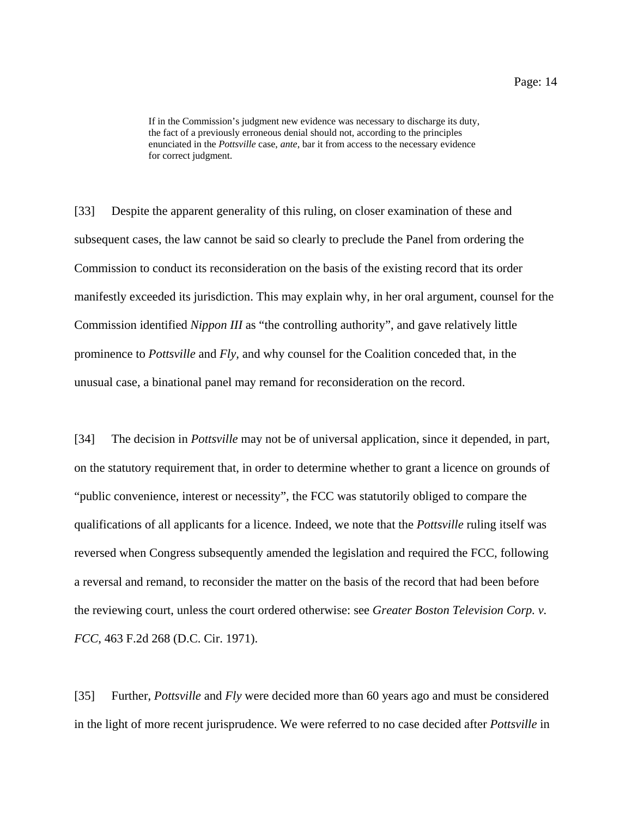[33] Despite the apparent generality of this ruling, on closer examination of these and subsequent cases, the law cannot be said so clearly to preclude the Panel from ordering the Commission to conduct its reconsideration on the basis of the existing record that its order manifestly exceeded its jurisdiction. This may explain why, in her oral argument, counsel for the Commission identified *Nippon III* as "the controlling authority", and gave relatively little prominence to *Pottsville* and *Fly,* and why counsel for the Coalition conceded that, in the unusual case, a binational panel may remand for reconsideration on the record.

[34] The decision in *Pottsville* may not be of universal application, since it depended, in part, on the statutory requirement that, in order to determine whether to grant a licence on grounds of "public convenience, interest or necessity", the FCC was statutorily obliged to compare the qualifications of all applicants for a licence. Indeed, we note that the *Pottsville* ruling itself was reversed when Congress subsequently amended the legislation and required the FCC, following a reversal and remand, to reconsider the matter on the basis of the record that had been before the reviewing court, unless the court ordered otherwise: see *Greater Boston Television Corp. v. FCC*, 463 F.2d 268 (D.C. Cir. 1971).

[35] Further, *Pottsville* and *Fly* were decided more than 60 years ago and must be considered in the light of more recent jurisprudence. We were referred to no case decided after *Pottsville* in

If in the Commission's judgment new evidence was necessary to discharge its duty, the fact of a previously erroneous denial should not, according to the principles enunciated in the *Pottsville* case, *ante*, bar it from access to the necessary evidence for correct judgment.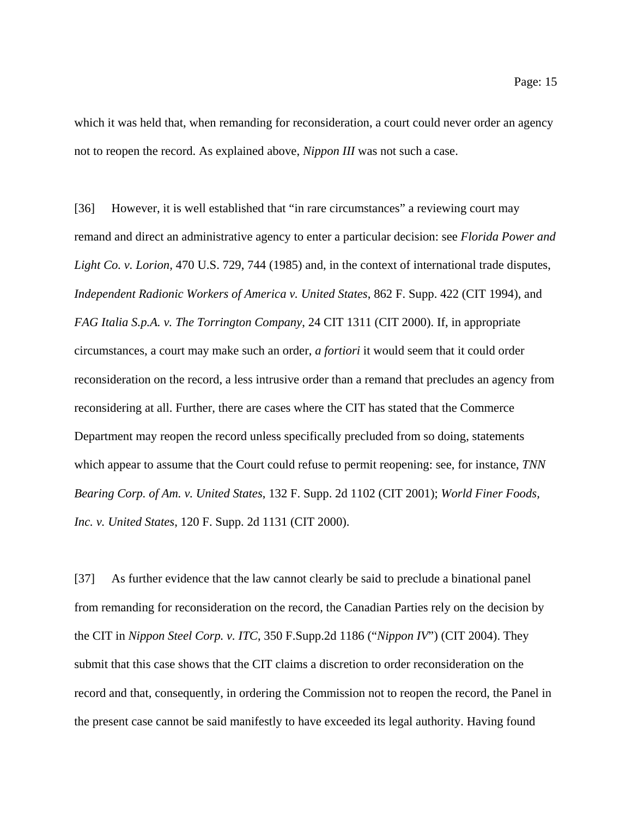which it was held that, when remanding for reconsideration, a court could never order an agency not to reopen the record. As explained above, *Nippon III* was not such a case.

[36] However, it is well established that "in rare circumstances" a reviewing court may remand and direct an administrative agency to enter a particular decision: see *Florida Power and Light Co. v. Lorion,* 470 U.S. 729, 744 (1985) and, in the context of international trade disputes, *Independent Radionic Workers of America v. United States*, 862 F. Supp. 422 (CIT 1994), and *FAG Italia S.p.A. v. The Torrington Company*, 24 CIT 1311 (CIT 2000). If, in appropriate circumstances, a court may make such an order, *a fortiori* it would seem that it could order reconsideration on the record, a less intrusive order than a remand that precludes an agency from reconsidering at all. Further, there are cases where the CIT has stated that the Commerce Department may reopen the record unless specifically precluded from so doing, statements which appear to assume that the Court could refuse to permit reopening: see, for instance, *TNN Bearing Corp. of Am. v. United States*, 132 F. Supp. 2d 1102 (CIT 2001); *World Finer Foods, Inc. v. United States*, 120 F. Supp. 2d 1131 (CIT 2000).

[37] As further evidence that the law cannot clearly be said to preclude a binational panel from remanding for reconsideration on the record, the Canadian Parties rely on the decision by the CIT in *Nippon Steel Corp. v. ITC*, 350 F.Supp.2d 1186 ("*Nippon IV*") (CIT 2004). They submit that this case shows that the CIT claims a discretion to order reconsideration on the record and that, consequently, in ordering the Commission not to reopen the record, the Panel in the present case cannot be said manifestly to have exceeded its legal authority. Having found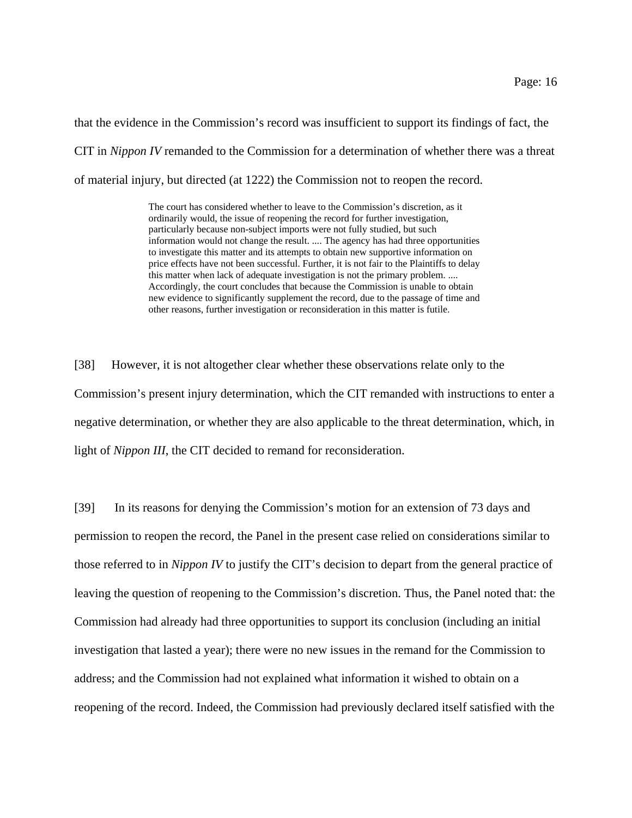that the evidence in the Commission's record was insufficient to support its findings of fact, the CIT in *Nippon IV* remanded to the Commission for a determination of whether there was a threat of material injury, but directed (at 1222) the Commission not to reopen the record.

> The court has considered whether to leave to the Commission's discretion, as it ordinarily would, the issue of reopening the record for further investigation, particularly because non-subject imports were not fully studied, but such information would not change the result. .... The agency has had three opportunities to investigate this matter and its attempts to obtain new supportive information on price effects have not been successful. Further, it is not fair to the Plaintiffs to delay this matter when lack of adequate investigation is not the primary problem. .... Accordingly, the court concludes that because the Commission is unable to obtain new evidence to significantly supplement the record, due to the passage of time and other reasons, further investigation or reconsideration in this matter is futile.

[38] However, it is not altogether clear whether these observations relate only to the Commission's present injury determination, which the CIT remanded with instructions to enter a negative determination, or whether they are also applicable to the threat determination, which, in light of *Nippon III*, the CIT decided to remand for reconsideration.

[39] In its reasons for denying the Commission's motion for an extension of 73 days and permission to reopen the record, the Panel in the present case relied on considerations similar to those referred to in *Nippon IV* to justify the CIT's decision to depart from the general practice of leaving the question of reopening to the Commission's discretion. Thus, the Panel noted that: the Commission had already had three opportunities to support its conclusion (including an initial investigation that lasted a year); there were no new issues in the remand for the Commission to address; and the Commission had not explained what information it wished to obtain on a reopening of the record. Indeed, the Commission had previously declared itself satisfied with the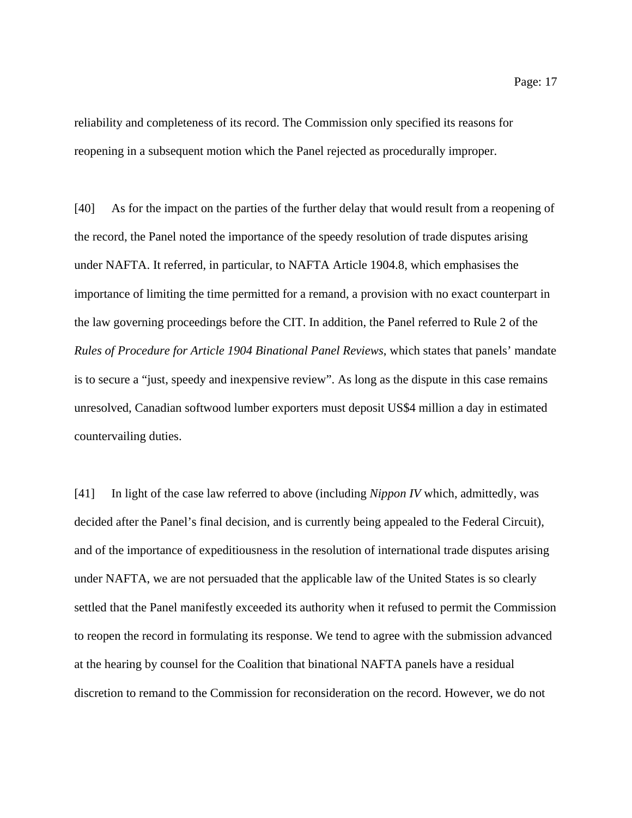reliability and completeness of its record. The Commission only specified its reasons for reopening in a subsequent motion which the Panel rejected as procedurally improper.

[40] As for the impact on the parties of the further delay that would result from a reopening of the record, the Panel noted the importance of the speedy resolution of trade disputes arising under NAFTA. It referred, in particular, to NAFTA Article 1904.8, which emphasises the importance of limiting the time permitted for a remand, a provision with no exact counterpart in the law governing proceedings before the CIT. In addition, the Panel referred to Rule 2 of the *Rules of Procedure for Article 1904 Binational Panel Reviews*, which states that panels' mandate is to secure a "just, speedy and inexpensive review". As long as the dispute in this case remains unresolved, Canadian softwood lumber exporters must deposit US\$4 million a day in estimated countervailing duties.

[41] In light of the case law referred to above (including *Nippon IV* which, admittedly, was decided after the Panel's final decision, and is currently being appealed to the Federal Circuit), and of the importance of expeditiousness in the resolution of international trade disputes arising under NAFTA, we are not persuaded that the applicable law of the United States is so clearly settled that the Panel manifestly exceeded its authority when it refused to permit the Commission to reopen the record in formulating its response. We tend to agree with the submission advanced at the hearing by counsel for the Coalition that binational NAFTA panels have a residual discretion to remand to the Commission for reconsideration on the record. However, we do not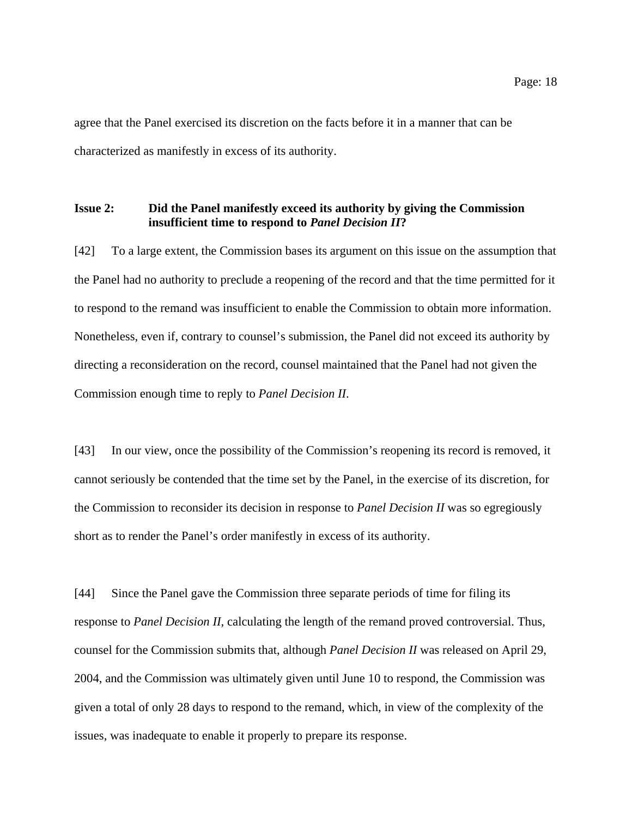agree that the Panel exercised its discretion on the facts before it in a manner that can be characterized as manifestly in excess of its authority.

# **Issue 2: Did the Panel manifestly exceed its authority by giving the Commission insufficient time to respond to** *Panel Decision II***?**

[42] To a large extent, the Commission bases its argument on this issue on the assumption that the Panel had no authority to preclude a reopening of the record and that the time permitted for it to respond to the remand was insufficient to enable the Commission to obtain more information. Nonetheless, even if, contrary to counsel's submission, the Panel did not exceed its authority by directing a reconsideration on the record, counsel maintained that the Panel had not given the Commission enough time to reply to *Panel Decision II*.

[43] In our view, once the possibility of the Commission's reopening its record is removed, it cannot seriously be contended that the time set by the Panel, in the exercise of its discretion, for the Commission to reconsider its decision in response to *Panel Decision II* was so egregiously short as to render the Panel's order manifestly in excess of its authority.

[44] Since the Panel gave the Commission three separate periods of time for filing its response to *Panel Decision II*, calculating the length of the remand proved controversial. Thus, counsel for the Commission submits that, although *Panel Decision II* was released on April 29, 2004, and the Commission was ultimately given until June 10 to respond, the Commission was given a total of only 28 days to respond to the remand, which, in view of the complexity of the issues, was inadequate to enable it properly to prepare its response.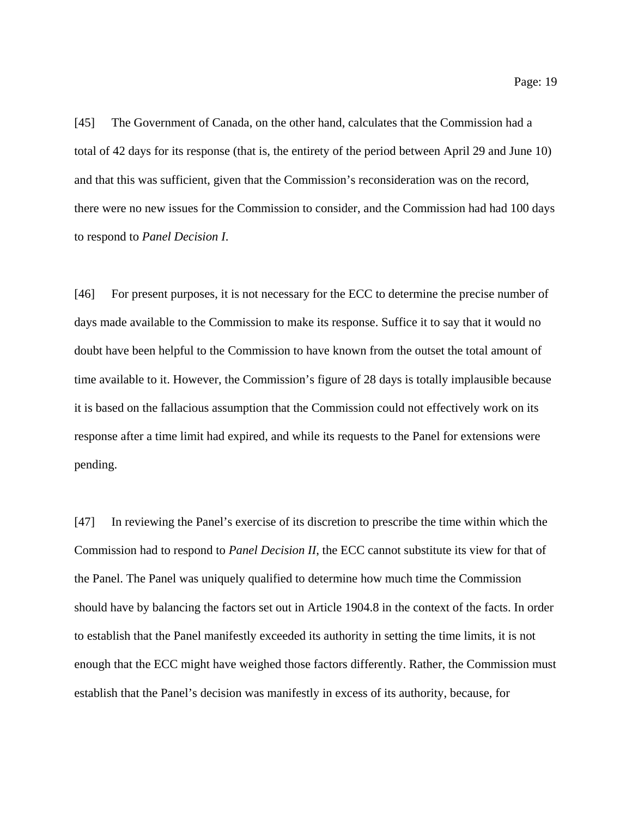[45] The Government of Canada, on the other hand, calculates that the Commission had a total of 42 days for its response (that is, the entirety of the period between April 29 and June 10) and that this was sufficient, given that the Commission's reconsideration was on the record, there were no new issues for the Commission to consider, and the Commission had had 100 days to respond to *Panel Decision I*.

[46] For present purposes, it is not necessary for the ECC to determine the precise number of days made available to the Commission to make its response. Suffice it to say that it would no doubt have been helpful to the Commission to have known from the outset the total amount of time available to it. However, the Commission's figure of 28 days is totally implausible because it is based on the fallacious assumption that the Commission could not effectively work on its response after a time limit had expired, and while its requests to the Panel for extensions were pending.

[47] In reviewing the Panel's exercise of its discretion to prescribe the time within which the Commission had to respond to *Panel Decision II*, the ECC cannot substitute its view for that of the Panel. The Panel was uniquely qualified to determine how much time the Commission should have by balancing the factors set out in Article 1904.8 in the context of the facts. In order to establish that the Panel manifestly exceeded its authority in setting the time limits, it is not enough that the ECC might have weighed those factors differently. Rather, the Commission must establish that the Panel's decision was manifestly in excess of its authority, because, for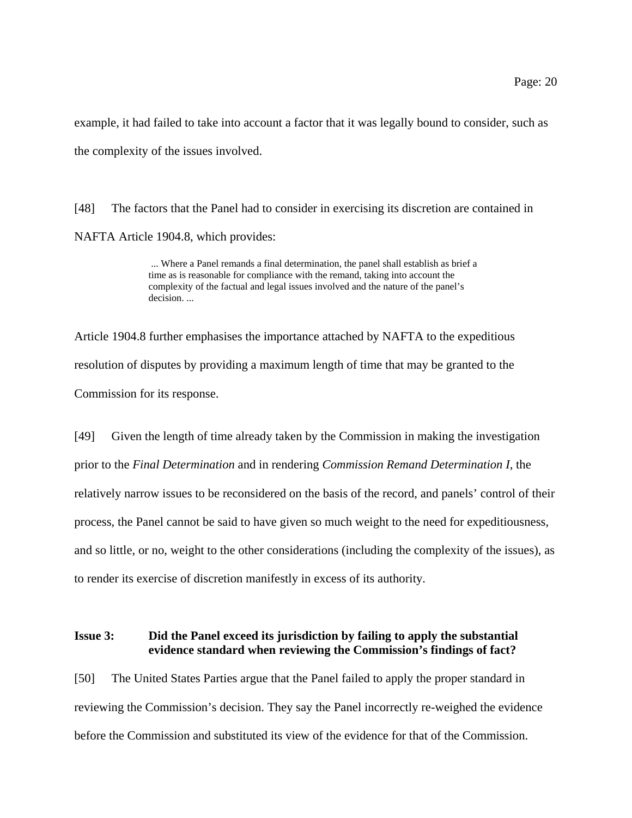example, it had failed to take into account a factor that it was legally bound to consider, such as the complexity of the issues involved.

[48] The factors that the Panel had to consider in exercising its discretion are contained in NAFTA Article 1904.8, which provides:

> ... Where a Panel remands a final determination, the panel shall establish as brief a time as is reasonable for compliance with the remand, taking into account the complexity of the factual and legal issues involved and the nature of the panel's decision. ...

Article 1904.8 further emphasises the importance attached by NAFTA to the expeditious resolution of disputes by providing a maximum length of time that may be granted to the Commission for its response.

[49] Given the length of time already taken by the Commission in making the investigation prior to the *Final Determination* and in rendering *Commission Remand Determination I,* the relatively narrow issues to be reconsidered on the basis of the record, and panels' control of their process, the Panel cannot be said to have given so much weight to the need for expeditiousness, and so little, or no, weight to the other considerations (including the complexity of the issues), as to render its exercise of discretion manifestly in excess of its authority.

# **Issue 3: Did the Panel exceed its jurisdiction by failing to apply the substantial evidence standard when reviewing the Commission's findings of fact?**

[50] The United States Parties argue that the Panel failed to apply the proper standard in reviewing the Commission's decision. They say the Panel incorrectly re-weighed the evidence before the Commission and substituted its view of the evidence for that of the Commission.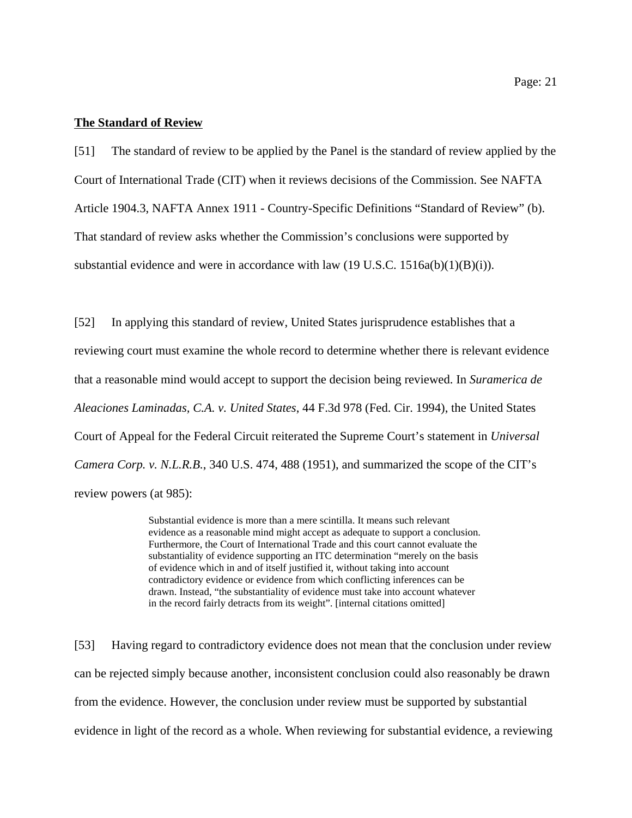#### **The Standard of Review**

[51] The standard of review to be applied by the Panel is the standard of review applied by the Court of International Trade (CIT) when it reviews decisions of the Commission. See NAFTA Article 1904.3, NAFTA Annex 1911 - Country-Specific Definitions "Standard of Review" (b). That standard of review asks whether the Commission's conclusions were supported by substantial evidence and were in accordance with law  $(19 \text{ U.S.C. } 1516a(b)(1)(B)(i))$ .

[52] In applying this standard of review, United States jurisprudence establishes that a reviewing court must examine the whole record to determine whether there is relevant evidence that a reasonable mind would accept to support the decision being reviewed. In *Suramerica de Aleaciones Laminadas, C.A. v. United States*, 44 F.3d 978 (Fed. Cir. 1994), the United States Court of Appeal for the Federal Circuit reiterated the Supreme Court's statement in *Universal Camera Corp. v. N.L.R.B.*, 340 U.S. 474, 488 (1951), and summarized the scope of the CIT's review powers (at 985):

> Substantial evidence is more than a mere scintilla. It means such relevant evidence as a reasonable mind might accept as adequate to support a conclusion. Furthermore, the Court of International Trade and this court cannot evaluate the substantiality of evidence supporting an ITC determination "merely on the basis of evidence which in and of itself justified it, without taking into account contradictory evidence or evidence from which conflicting inferences can be drawn. Instead, "the substantiality of evidence must take into account whatever in the record fairly detracts from its weight". [internal citations omitted]

[53] Having regard to contradictory evidence does not mean that the conclusion under review can be rejected simply because another, inconsistent conclusion could also reasonably be drawn from the evidence. However, the conclusion under review must be supported by substantial evidence in light of the record as a whole. When reviewing for substantial evidence, a reviewing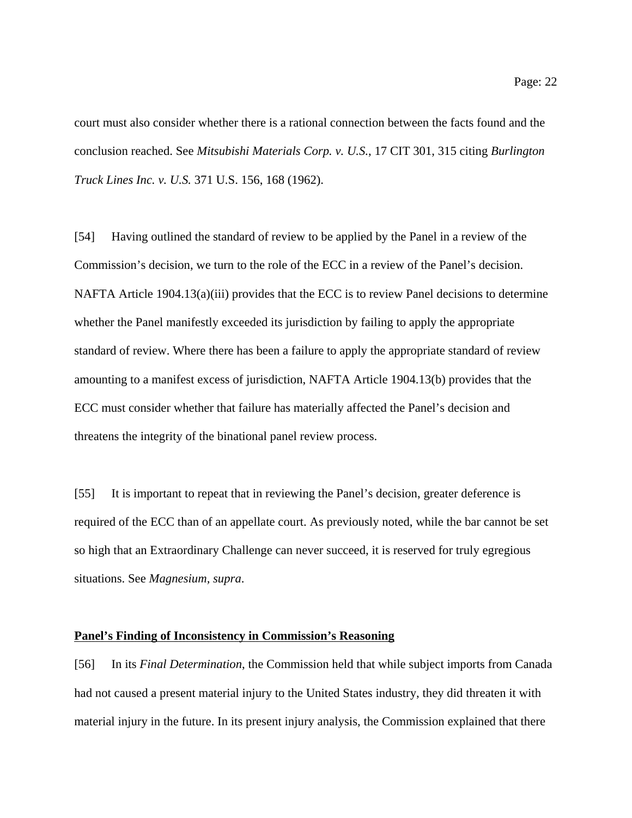court must also consider whether there is a rational connection between the facts found and the conclusion reached. See *Mitsubishi Materials Corp. v. U.S.*, 17 CIT 301, 315 citing *Burlington*

[54] Having outlined the standard of review to be applied by the Panel in a review of the Commission's decision, we turn to the role of the ECC in a review of the Panel's decision. NAFTA Article 1904.13(a)(iii) provides that the ECC is to review Panel decisions to determine whether the Panel manifestly exceeded its jurisdiction by failing to apply the appropriate standard of review. Where there has been a failure to apply the appropriate standard of review amounting to a manifest excess of jurisdiction, NAFTA Article 1904.13(b) provides that the ECC must consider whether that failure has materially affected the Panel's decision and threatens the integrity of the binational panel review process.

[55] It is important to repeat that in reviewing the Panel's decision, greater deference is required of the ECC than of an appellate court. As previously noted, while the bar cannot be set so high that an Extraordinary Challenge can never succeed, it is reserved for truly egregious situations. See *Magnesium, supra*.

#### **Panel's Finding of Inconsistency in Commission's Reasoning**

*Truck Lines Inc. v. U.S.* 371 U.S. 156, 168 (1962).

[56] In its *Final Determination*, the Commission held that while subject imports from Canada had not caused a present material injury to the United States industry, they did threaten it with material injury in the future. In its present injury analysis, the Commission explained that there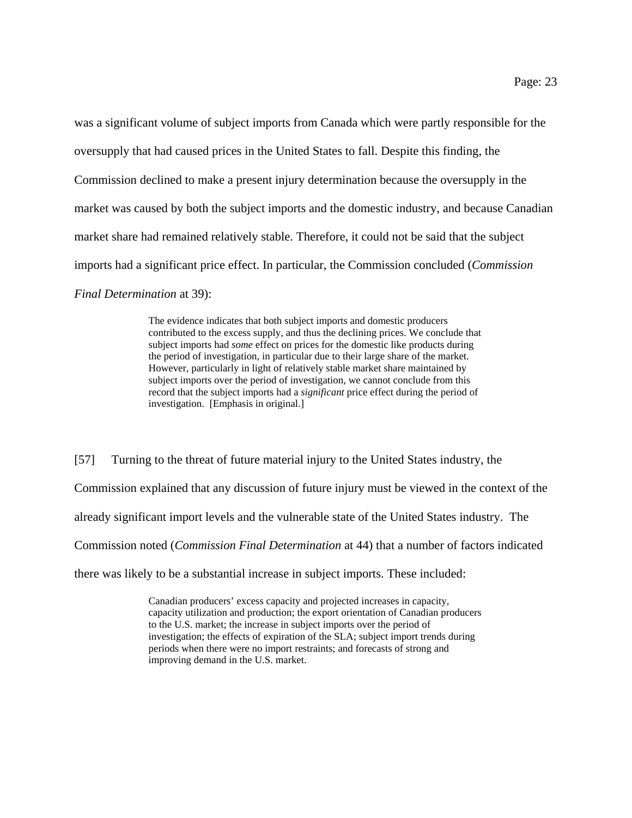was a significant volume of subject imports from Canada which were partly responsible for the oversupply that had caused prices in the United States to fall. Despite this finding, the Commission declined to make a present injury determination because the oversupply in the market was caused by both the subject imports and the domestic industry, and because Canadian market share had remained relatively stable. Therefore, it could not be said that the subject imports had a significant price effect. In particular, the Commission concluded (*Commission Final Determination* at 39):

> The evidence indicates that both subject imports and domestic producers contributed to the excess supply, and thus the declining prices. We conclude that subject imports had *some* effect on prices for the domestic like products during the period of investigation, in particular due to their large share of the market. However, particularly in light of relatively stable market share maintained by subject imports over the period of investigation, we cannot conclude from this record that the subject imports had a *significant* price effect during the period of investigation. [Emphasis in original.]

[57] Turning to the threat of future material injury to the United States industry, the Commission explained that any discussion of future injury must be viewed in the context of the already significant import levels and the vulnerable state of the United States industry. The Commission noted (*Commission Final Determination* at 44) that a number of factors indicated there was likely to be a substantial increase in subject imports. These included:

> Canadian producers' excess capacity and projected increases in capacity, capacity utilization and production; the export orientation of Canadian producers to the U.S. market; the increase in subject imports over the period of investigation; the effects of expiration of the SLA; subject import trends during periods when there were no import restraints; and forecasts of strong and improving demand in the U.S. market.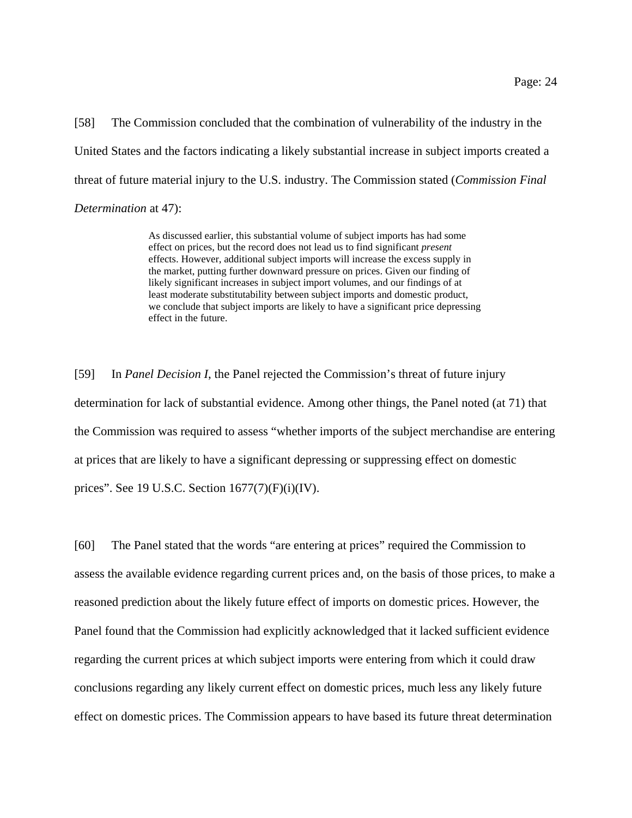[58] The Commission concluded that the combination of vulnerability of the industry in the United States and the factors indicating a likely substantial increase in subject imports created a threat of future material injury to the U.S. industry. The Commission stated (*Commission Final Determination* at 47):

> As discussed earlier, this substantial volume of subject imports has had some effect on prices, but the record does not lead us to find significant *present* effects. However, additional subject imports will increase the excess supply in the market, putting further downward pressure on prices. Given our finding of likely significant increases in subject import volumes, and our findings of at least moderate substitutability between subject imports and domestic product, we conclude that subject imports are likely to have a significant price depressing effect in the future.

[59] In *Panel Decision I*, the Panel rejected the Commission's threat of future injury determination for lack of substantial evidence. Among other things, the Panel noted (at 71) that the Commission was required to assess "whether imports of the subject merchandise are entering at prices that are likely to have a significant depressing or suppressing effect on domestic prices". See 19 U.S.C. Section 1677(7)(F)(i)(IV).

[60] The Panel stated that the words "are entering at prices" required the Commission to assess the available evidence regarding current prices and, on the basis of those prices, to make a reasoned prediction about the likely future effect of imports on domestic prices. However, the Panel found that the Commission had explicitly acknowledged that it lacked sufficient evidence regarding the current prices at which subject imports were entering from which it could draw conclusions regarding any likely current effect on domestic prices, much less any likely future effect on domestic prices. The Commission appears to have based its future threat determination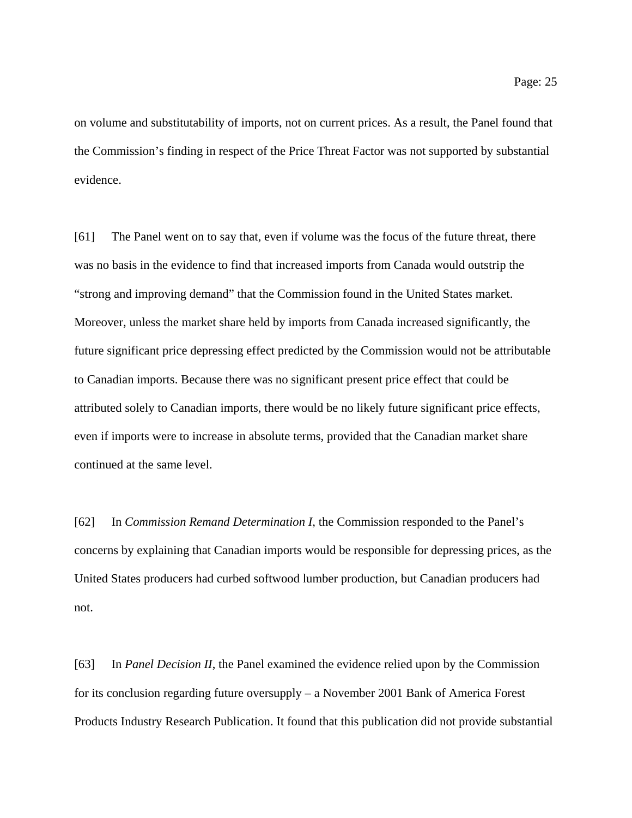Page: 25

on volume and substitutability of imports, not on current prices. As a result, the Panel found that the Commission's finding in respect of the Price Threat Factor was not supported by substantial evidence.

[61] The Panel went on to say that, even if volume was the focus of the future threat, there was no basis in the evidence to find that increased imports from Canada would outstrip the "strong and improving demand" that the Commission found in the United States market. Moreover, unless the market share held by imports from Canada increased significantly, the future significant price depressing effect predicted by the Commission would not be attributable to Canadian imports. Because there was no significant present price effect that could be attributed solely to Canadian imports, there would be no likely future significant price effects, even if imports were to increase in absolute terms, provided that the Canadian market share continued at the same level.

[62] In *Commission Remand Determination I*, the Commission responded to the Panel's concerns by explaining that Canadian imports would be responsible for depressing prices, as the United States producers had curbed softwood lumber production, but Canadian producers had not.

[63] In *Panel Decision II*, the Panel examined the evidence relied upon by the Commission for its conclusion regarding future oversupply – a November 2001 Bank of America Forest Products Industry Research Publication. It found that this publication did not provide substantial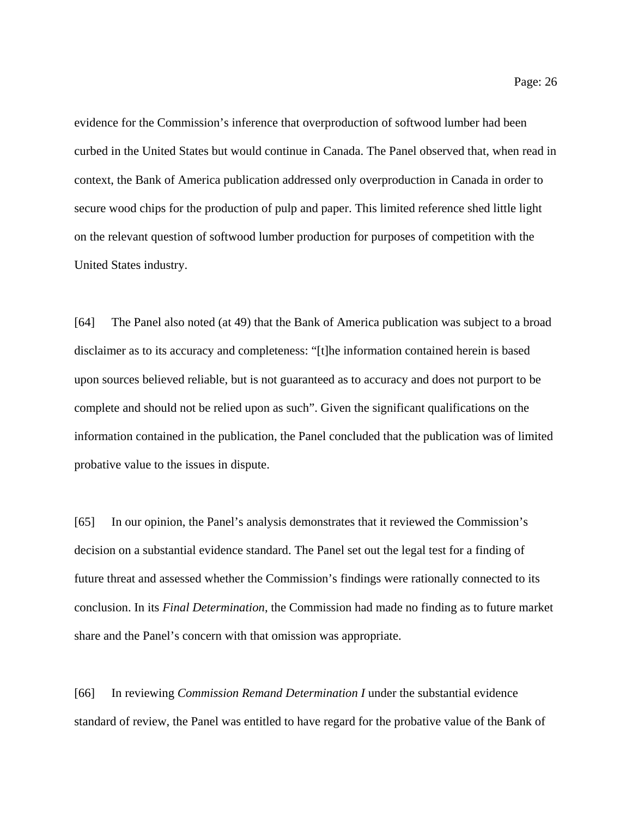evidence for the Commission's inference that overproduction of softwood lumber had been curbed in the United States but would continue in Canada. The Panel observed that, when read in context, the Bank of America publication addressed only overproduction in Canada in order to secure wood chips for the production of pulp and paper. This limited reference shed little light on the relevant question of softwood lumber production for purposes of competition with the United States industry.

[64] The Panel also noted (at 49) that the Bank of America publication was subject to a broad disclaimer as to its accuracy and completeness: "[t]he information contained herein is based upon sources believed reliable, but is not guaranteed as to accuracy and does not purport to be complete and should not be relied upon as such". Given the significant qualifications on the information contained in the publication, the Panel concluded that the publication was of limited probative value to the issues in dispute.

[65] In our opinion, the Panel's analysis demonstrates that it reviewed the Commission's decision on a substantial evidence standard. The Panel set out the legal test for a finding of future threat and assessed whether the Commission's findings were rationally connected to its conclusion. In its *Final Determination*, the Commission had made no finding as to future market share and the Panel's concern with that omission was appropriate.

[66] In reviewing *Commission Remand Determination I* under the substantial evidence standard of review, the Panel was entitled to have regard for the probative value of the Bank of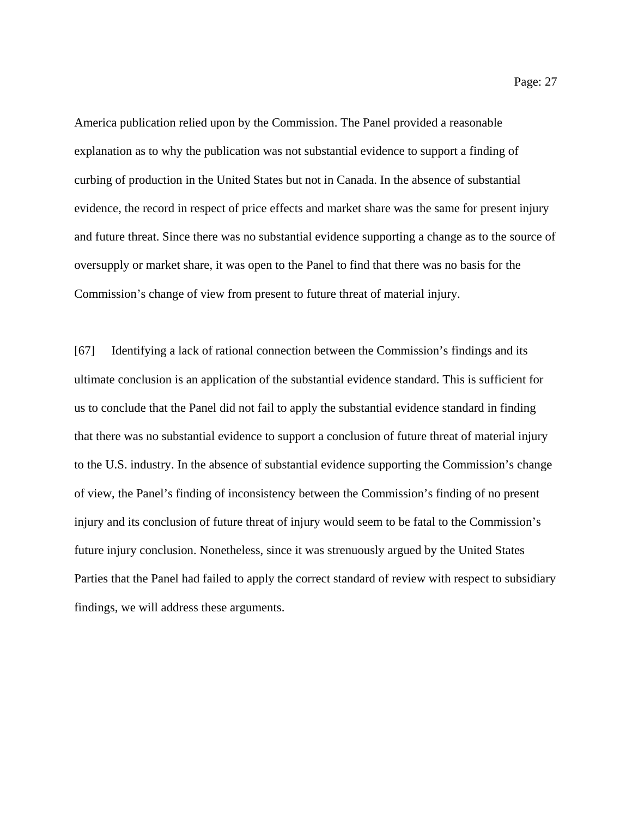America publication relied upon by the Commission. The Panel provided a reasonable explanation as to why the publication was not substantial evidence to support a finding of curbing of production in the United States but not in Canada. In the absence of substantial evidence, the record in respect of price effects and market share was the same for present injury and future threat. Since there was no substantial evidence supporting a change as to the source of oversupply or market share, it was open to the Panel to find that there was no basis for the Commission's change of view from present to future threat of material injury.

[67] Identifying a lack of rational connection between the Commission's findings and its ultimate conclusion is an application of the substantial evidence standard. This is sufficient for us to conclude that the Panel did not fail to apply the substantial evidence standard in finding that there was no substantial evidence to support a conclusion of future threat of material injury to the U.S. industry. In the absence of substantial evidence supporting the Commission's change of view, the Panel's finding of inconsistency between the Commission's finding of no present injury and its conclusion of future threat of injury would seem to be fatal to the Commission's future injury conclusion. Nonetheless, since it was strenuously argued by the United States Parties that the Panel had failed to apply the correct standard of review with respect to subsidiary findings, we will address these arguments.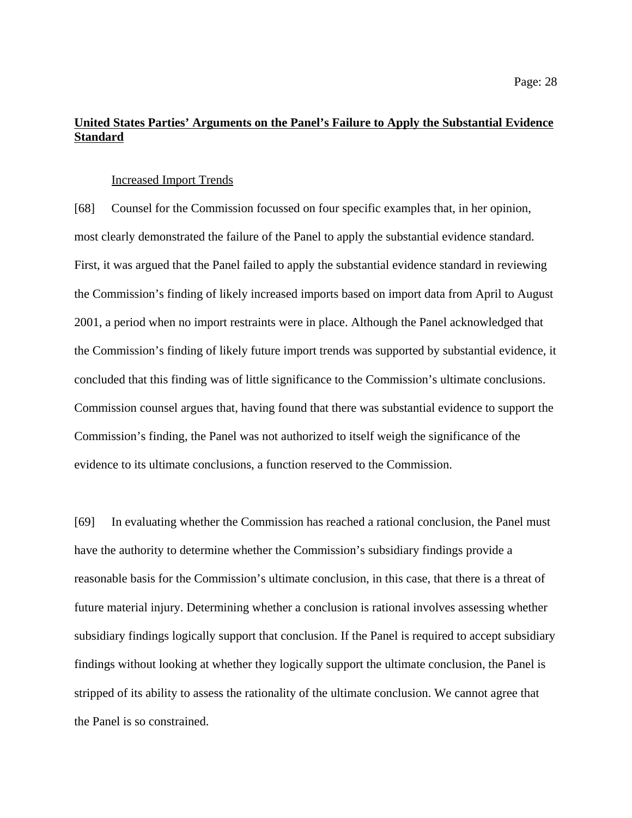# **United States Parties' Arguments on the Panel's Failure to Apply the Substantial Evidence Standard**

#### Increased Import Trends

[68] Counsel for the Commission focussed on four specific examples that, in her opinion, most clearly demonstrated the failure of the Panel to apply the substantial evidence standard. First, it was argued that the Panel failed to apply the substantial evidence standard in reviewing the Commission's finding of likely increased imports based on import data from April to August 2001, a period when no import restraints were in place. Although the Panel acknowledged that the Commission's finding of likely future import trends was supported by substantial evidence, it concluded that this finding was of little significance to the Commission's ultimate conclusions. Commission counsel argues that, having found that there was substantial evidence to support the Commission's finding, the Panel was not authorized to itself weigh the significance of the evidence to its ultimate conclusions, a function reserved to the Commission.

[69] In evaluating whether the Commission has reached a rational conclusion, the Panel must have the authority to determine whether the Commission's subsidiary findings provide a reasonable basis for the Commission's ultimate conclusion, in this case, that there is a threat of future material injury. Determining whether a conclusion is rational involves assessing whether subsidiary findings logically support that conclusion. If the Panel is required to accept subsidiary findings without looking at whether they logically support the ultimate conclusion, the Panel is stripped of its ability to assess the rationality of the ultimate conclusion. We cannot agree that the Panel is so constrained.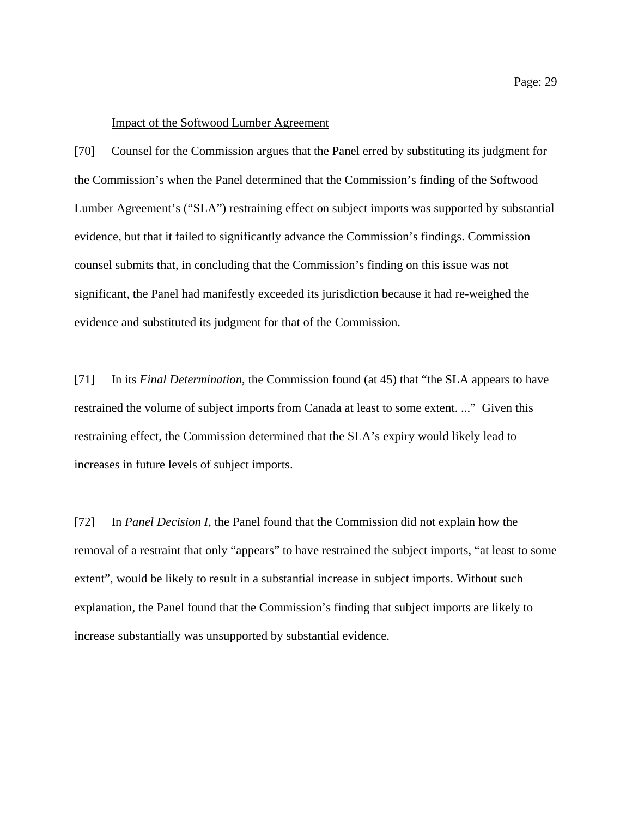#### Impact of the Softwood Lumber Agreement

[70] Counsel for the Commission argues that the Panel erred by substituting its judgment for the Commission's when the Panel determined that the Commission's finding of the Softwood Lumber Agreement's ("SLA") restraining effect on subject imports was supported by substantial evidence, but that it failed to significantly advance the Commission's findings. Commission counsel submits that, in concluding that the Commission's finding on this issue was not significant, the Panel had manifestly exceeded its jurisdiction because it had re-weighed the evidence and substituted its judgment for that of the Commission.

[71] In its *Final Determination*, the Commission found (at 45) that "the SLA appears to have restrained the volume of subject imports from Canada at least to some extent. ..." Given this restraining effect, the Commission determined that the SLA's expiry would likely lead to increases in future levels of subject imports.

[72] In *Panel Decision I*, the Panel found that the Commission did not explain how the removal of a restraint that only "appears" to have restrained the subject imports, "at least to some extent", would be likely to result in a substantial increase in subject imports. Without such explanation, the Panel found that the Commission's finding that subject imports are likely to increase substantially was unsupported by substantial evidence.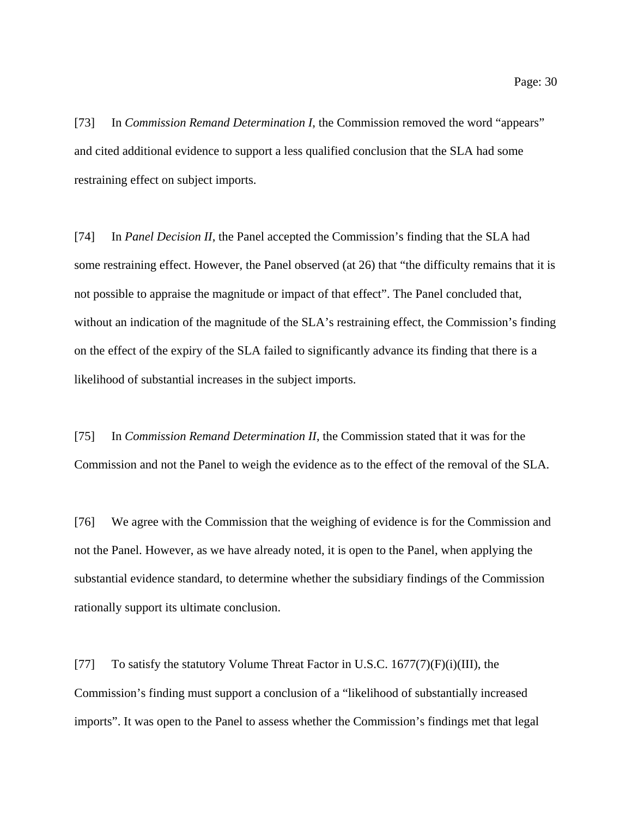[73] In *Commission Remand Determination I*, the Commission removed the word "appears" and cited additional evidence to support a less qualified conclusion that the SLA had some restraining effect on subject imports.

[74] In *Panel Decision II*, the Panel accepted the Commission's finding that the SLA had some restraining effect. However, the Panel observed (at 26) that "the difficulty remains that it is not possible to appraise the magnitude or impact of that effect". The Panel concluded that, without an indication of the magnitude of the SLA's restraining effect, the Commission's finding on the effect of the expiry of the SLA failed to significantly advance its finding that there is a likelihood of substantial increases in the subject imports.

[75] In *Commission Remand Determination II*, the Commission stated that it was for the Commission and not the Panel to weigh the evidence as to the effect of the removal of the SLA.

[76] We agree with the Commission that the weighing of evidence is for the Commission and not the Panel. However, as we have already noted, it is open to the Panel, when applying the substantial evidence standard, to determine whether the subsidiary findings of the Commission rationally support its ultimate conclusion.

[77] To satisfy the statutory Volume Threat Factor in U.S.C. 1677(7)(F)(i)(III), the Commission's finding must support a conclusion of a "likelihood of substantially increased imports". It was open to the Panel to assess whether the Commission's findings met that legal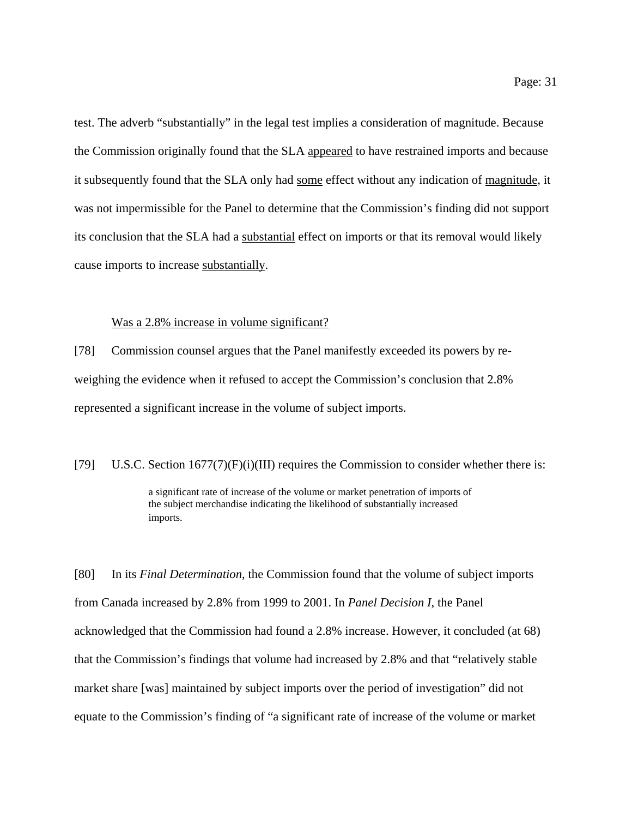test. The adverb "substantially" in the legal test implies a consideration of magnitude. Because the Commission originally found that the SLA appeared to have restrained imports and because it subsequently found that the SLA only had some effect without any indication of magnitude, it was not impermissible for the Panel to determine that the Commission's finding did not support its conclusion that the SLA had a substantial effect on imports or that its removal would likely cause imports to increase substantially.

#### Was a 2.8% increase in volume significant?

[78] Commission counsel argues that the Panel manifestly exceeded its powers by reweighing the evidence when it refused to accept the Commission's conclusion that 2.8% represented a significant increase in the volume of subject imports.

[79] U.S.C. Section  $1677(7)(F)(i)(III)$  requires the Commission to consider whether there is:

a significant rate of increase of the volume or market penetration of imports of the subject merchandise indicating the likelihood of substantially increased imports.

[80] In its *Final Determination*, the Commission found that the volume of subject imports from Canada increased by 2.8% from 1999 to 2001. In *Panel Decision I*, the Panel acknowledged that the Commission had found a 2.8% increase. However, it concluded (at 68) that the Commission's findings that volume had increased by 2.8% and that "relatively stable market share [was] maintained by subject imports over the period of investigation" did not equate to the Commission's finding of "a significant rate of increase of the volume or market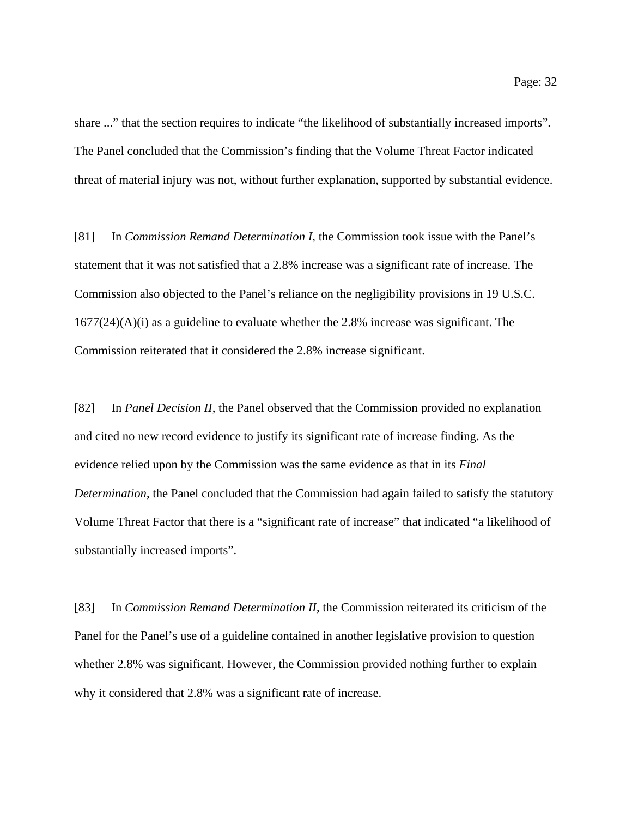share ..." that the section requires to indicate "the likelihood of substantially increased imports". The Panel concluded that the Commission's finding that the Volume Threat Factor indicated threat of material injury was not, without further explanation, supported by substantial evidence.

[81] In *Commission Remand Determination I*, the Commission took issue with the Panel's statement that it was not satisfied that a 2.8% increase was a significant rate of increase. The Commission also objected to the Panel's reliance on the negligibility provisions in 19 U.S.C.  $1677(24)(A)(i)$  as a guideline to evaluate whether the 2.8% increase was significant. The Commission reiterated that it considered the 2.8% increase significant.

[82] In *Panel Decision II*, the Panel observed that the Commission provided no explanation and cited no new record evidence to justify its significant rate of increase finding. As the evidence relied upon by the Commission was the same evidence as that in its *Final Determination*, the Panel concluded that the Commission had again failed to satisfy the statutory Volume Threat Factor that there is a "significant rate of increase" that indicated "a likelihood of substantially increased imports".

[83] In *Commission Remand Determination II*, the Commission reiterated its criticism of the Panel for the Panel's use of a guideline contained in another legislative provision to question whether 2.8% was significant. However, the Commission provided nothing further to explain why it considered that 2.8% was a significant rate of increase.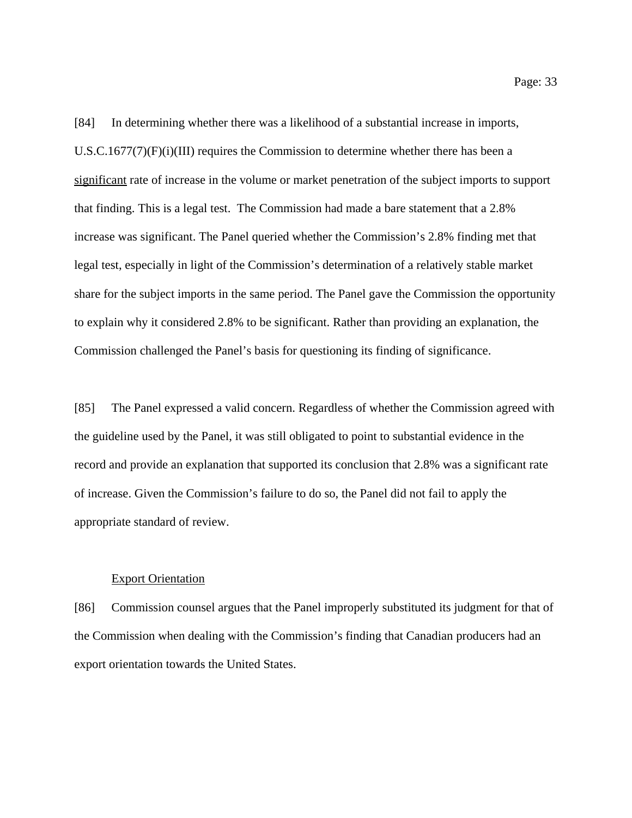[84] In determining whether there was a likelihood of a substantial increase in imports, U.S.C.1677(7) $(F)(i)(III)$  requires the Commission to determine whether there has been a significant rate of increase in the volume or market penetration of the subject imports to support that finding. This is a legal test. The Commission had made a bare statement that a 2.8% increase was significant. The Panel queried whether the Commission's 2.8% finding met that legal test, especially in light of the Commission's determination of a relatively stable market share for the subject imports in the same period. The Panel gave the Commission the opportunity to explain why it considered 2.8% to be significant. Rather than providing an explanation, the Commission challenged the Panel's basis for questioning its finding of significance.

[85] The Panel expressed a valid concern. Regardless of whether the Commission agreed with the guideline used by the Panel, it was still obligated to point to substantial evidence in the record and provide an explanation that supported its conclusion that 2.8% was a significant rate of increase. Given the Commission's failure to do so, the Panel did not fail to apply the appropriate standard of review.

#### **Export Orientation**

[86] Commission counsel argues that the Panel improperly substituted its judgment for that of the Commission when dealing with the Commission's finding that Canadian producers had an export orientation towards the United States.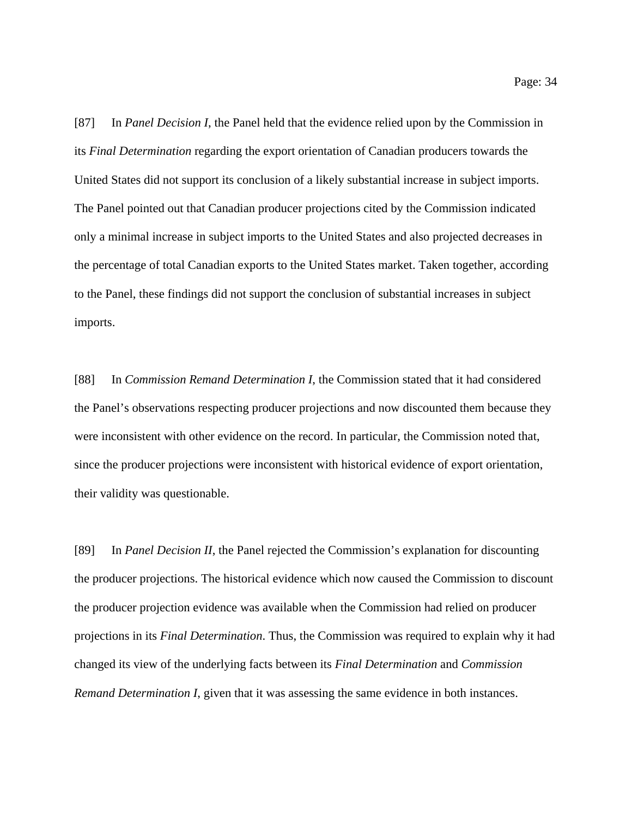[87] In *Panel Decision I*, the Panel held that the evidence relied upon by the Commission in its *Final Determination* regarding the export orientation of Canadian producers towards the United States did not support its conclusion of a likely substantial increase in subject imports. The Panel pointed out that Canadian producer projections cited by the Commission indicated only a minimal increase in subject imports to the United States and also projected decreases in the percentage of total Canadian exports to the United States market. Taken together, according to the Panel, these findings did not support the conclusion of substantial increases in subject imports.

[88] In *Commission Remand Determination I*, the Commission stated that it had considered the Panel's observations respecting producer projections and now discounted them because they were inconsistent with other evidence on the record. In particular, the Commission noted that, since the producer projections were inconsistent with historical evidence of export orientation, their validity was questionable.

[89] In *Panel Decision II*, the Panel rejected the Commission's explanation for discounting the producer projections. The historical evidence which now caused the Commission to discount the producer projection evidence was available when the Commission had relied on producer projections in its *Final Determination*. Thus, the Commission was required to explain why it had changed its view of the underlying facts between its *Final Determination* and *Commission Remand Determination I*, given that it was assessing the same evidence in both instances.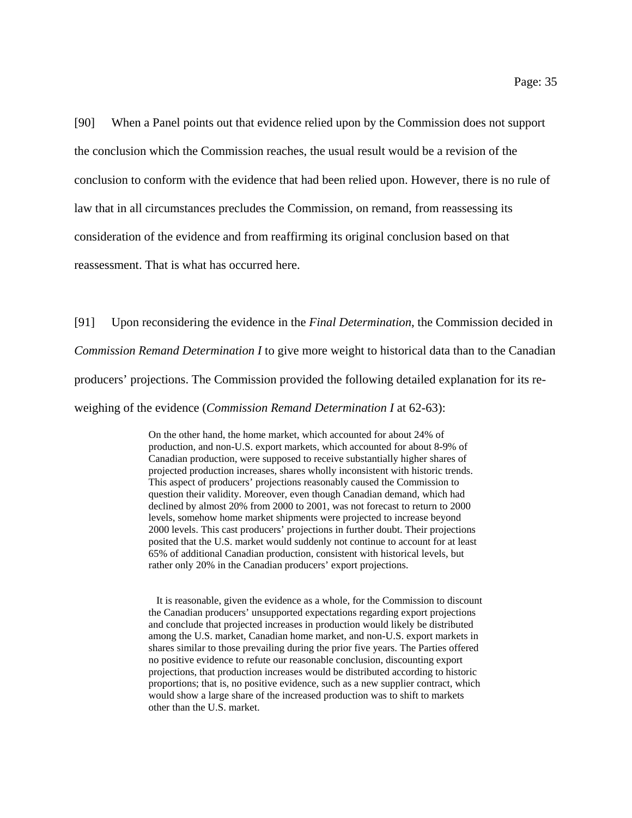[90] When a Panel points out that evidence relied upon by the Commission does not support the conclusion which the Commission reaches, the usual result would be a revision of the conclusion to conform with the evidence that had been relied upon. However, there is no rule of law that in all circumstances precludes the Commission, on remand, from reassessing its consideration of the evidence and from reaffirming its original conclusion based on that reassessment. That is what has occurred here.

[91] Upon reconsidering the evidence in the *Final Determination*, the Commission decided in *Commission Remand Determination I* to give more weight to historical data than to the Canadian producers' projections. The Commission provided the following detailed explanation for its reweighing of the evidence (*Commission Remand Determination I* at 62-63):

> On the other hand, the home market, which accounted for about 24% of production, and non-U.S. export markets, which accounted for about 8-9% of Canadian production, were supposed to receive substantially higher shares of projected production increases, shares wholly inconsistent with historic trends. This aspect of producers' projections reasonably caused the Commission to question their validity. Moreover, even though Canadian demand, which had declined by almost 20% from 2000 to 2001, was not forecast to return to 2000 levels, somehow home market shipments were projected to increase beyond 2000 levels. This cast producers' projections in further doubt. Their projections posited that the U.S. market would suddenly not continue to account for at least 65% of additional Canadian production, consistent with historical levels, but rather only 20% in the Canadian producers' export projections.

 It is reasonable, given the evidence as a whole, for the Commission to discount the Canadian producers' unsupported expectations regarding export projections and conclude that projected increases in production would likely be distributed among the U.S. market, Canadian home market, and non-U.S. export markets in shares similar to those prevailing during the prior five years. The Parties offered no positive evidence to refute our reasonable conclusion, discounting export projections, that production increases would be distributed according to historic proportions; that is, no positive evidence, such as a new supplier contract, which would show a large share of the increased production was to shift to markets other than the U.S. market.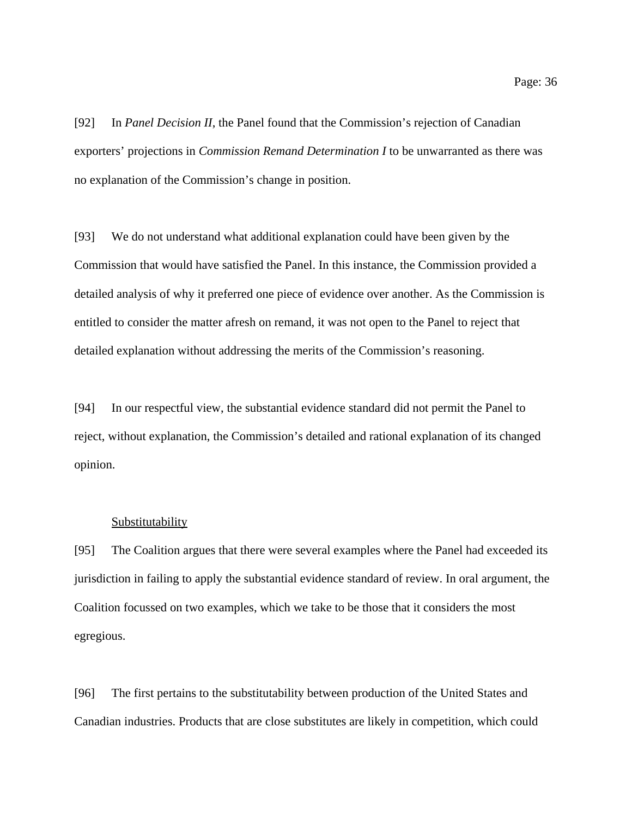[92] In *Panel Decision II*, the Panel found that the Commission's rejection of Canadian exporters' projections in *Commission Remand Determination I* to be unwarranted as there was no explanation of the Commission's change in position.

[93] We do not understand what additional explanation could have been given by the Commission that would have satisfied the Panel. In this instance, the Commission provided a detailed analysis of why it preferred one piece of evidence over another. As the Commission is entitled to consider the matter afresh on remand, it was not open to the Panel to reject that detailed explanation without addressing the merits of the Commission's reasoning.

[94] In our respectful view, the substantial evidence standard did not permit the Panel to reject, without explanation, the Commission's detailed and rational explanation of its changed opinion.

#### **Substitutability**

[95] The Coalition argues that there were several examples where the Panel had exceeded its jurisdiction in failing to apply the substantial evidence standard of review. In oral argument, the Coalition focussed on two examples, which we take to be those that it considers the most egregious.

[96] The first pertains to the substitutability between production of the United States and Canadian industries. Products that are close substitutes are likely in competition, which could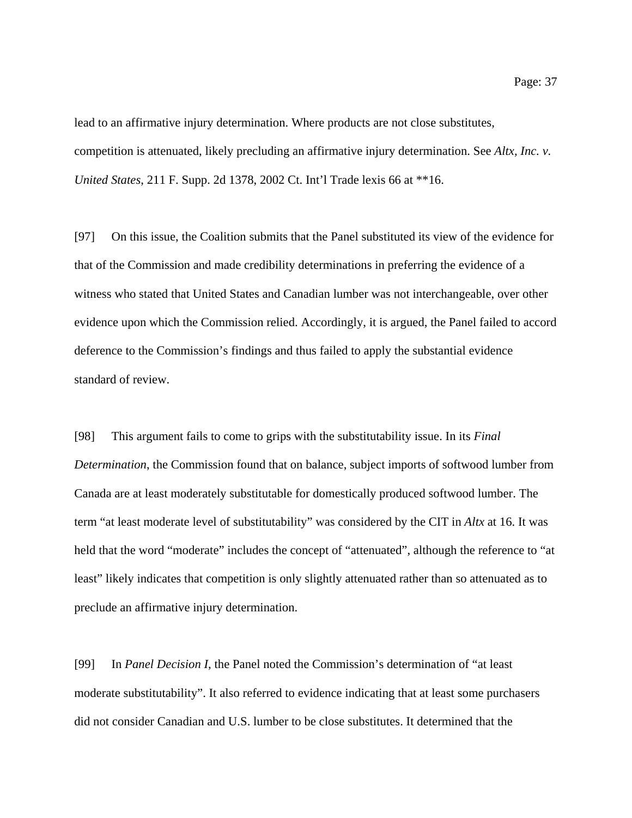lead to an affirmative injury determination. Where products are not close substitutes, competition is attenuated, likely precluding an affirmative injury determination. See *Altx, Inc. v. United States*, 211 F. Supp. 2d 1378, 2002 Ct. Int'l Trade lexis 66 at \*\*16.

[97] On this issue, the Coalition submits that the Panel substituted its view of the evidence for that of the Commission and made credibility determinations in preferring the evidence of a witness who stated that United States and Canadian lumber was not interchangeable, over other evidence upon which the Commission relied. Accordingly, it is argued, the Panel failed to accord deference to the Commission's findings and thus failed to apply the substantial evidence standard of review.

[98] This argument fails to come to grips with the substitutability issue. In its *Final Determination*, the Commission found that on balance, subject imports of softwood lumber from Canada are at least moderately substitutable for domestically produced softwood lumber. The term "at least moderate level of substitutability" was considered by the CIT in *Altx* at 16. It was held that the word "moderate" includes the concept of "attenuated", although the reference to "at least" likely indicates that competition is only slightly attenuated rather than so attenuated as to preclude an affirmative injury determination.

[99] In *Panel Decision I*, the Panel noted the Commission's determination of "at least moderate substitutability". It also referred to evidence indicating that at least some purchasers did not consider Canadian and U.S. lumber to be close substitutes. It determined that the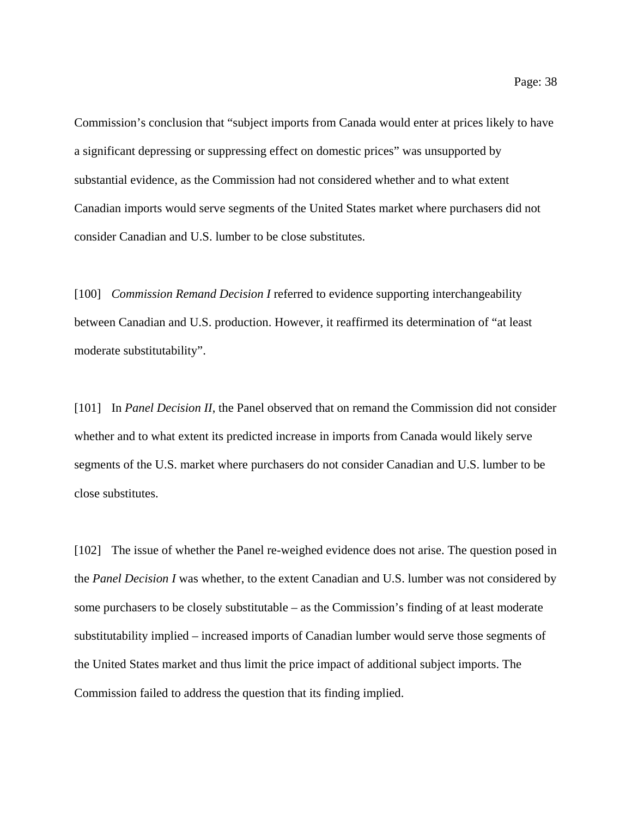Commission's conclusion that "subject imports from Canada would enter at prices likely to have a significant depressing or suppressing effect on domestic prices" was unsupported by substantial evidence, as the Commission had not considered whether and to what extent Canadian imports would serve segments of the United States market where purchasers did not consider Canadian and U.S. lumber to be close substitutes.

[100] *Commission Remand Decision I* referred to evidence supporting interchangeability between Canadian and U.S. production. However, it reaffirmed its determination of "at least moderate substitutability".

[101] In *Panel Decision II*, the Panel observed that on remand the Commission did not consider whether and to what extent its predicted increase in imports from Canada would likely serve segments of the U.S. market where purchasers do not consider Canadian and U.S. lumber to be close substitutes.

[102] The issue of whether the Panel re-weighed evidence does not arise. The question posed in the *Panel Decision I* was whether, to the extent Canadian and U.S. lumber was not considered by some purchasers to be closely substitutable – as the Commission's finding of at least moderate substitutability implied – increased imports of Canadian lumber would serve those segments of the United States market and thus limit the price impact of additional subject imports. The Commission failed to address the question that its finding implied.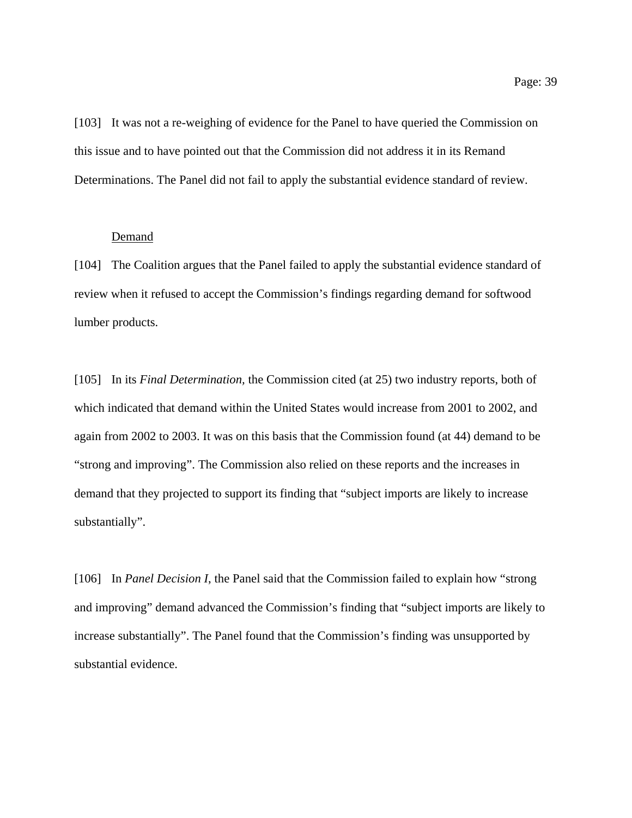[103] It was not a re-weighing of evidence for the Panel to have queried the Commission on this issue and to have pointed out that the Commission did not address it in its Remand Determinations. The Panel did not fail to apply the substantial evidence standard of review.

#### Demand

[104] The Coalition argues that the Panel failed to apply the substantial evidence standard of review when it refused to accept the Commission's findings regarding demand for softwood lumber products.

[105] In its *Final Determination,* the Commission cited (at 25) two industry reports, both of which indicated that demand within the United States would increase from 2001 to 2002, and again from 2002 to 2003. It was on this basis that the Commission found (at 44) demand to be "strong and improving". The Commission also relied on these reports and the increases in demand that they projected to support its finding that "subject imports are likely to increase substantially".

[106] In *Panel Decision I*, the Panel said that the Commission failed to explain how "strong and improving" demand advanced the Commission's finding that "subject imports are likely to increase substantially". The Panel found that the Commission's finding was unsupported by substantial evidence.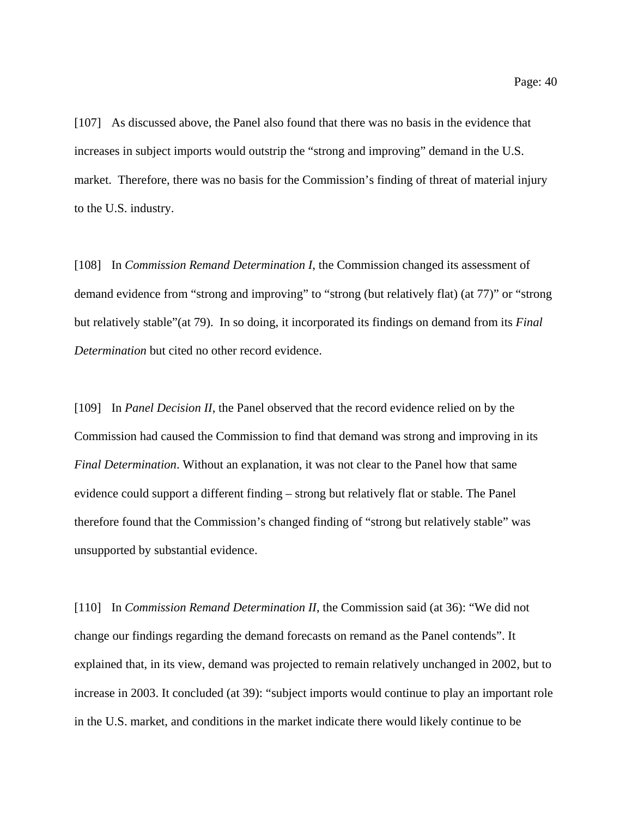[107] As discussed above, the Panel also found that there was no basis in the evidence that increases in subject imports would outstrip the "strong and improving" demand in the U.S. market. Therefore, there was no basis for the Commission's finding of threat of material injury to the U.S. industry.

[108] In *Commission Remand Determination I*, the Commission changed its assessment of demand evidence from "strong and improving" to "strong (but relatively flat) (at 77)" or "strong but relatively stable"(at 79). In so doing, it incorporated its findings on demand from its *Final Determination* but cited no other record evidence.

[109] In *Panel Decision II*, the Panel observed that the record evidence relied on by the Commission had caused the Commission to find that demand was strong and improving in its *Final Determination*. Without an explanation, it was not clear to the Panel how that same evidence could support a different finding – strong but relatively flat or stable. The Panel therefore found that the Commission's changed finding of "strong but relatively stable" was unsupported by substantial evidence.

[110] In *Commission Remand Determination II*, the Commission said (at 36): "We did not change our findings regarding the demand forecasts on remand as the Panel contends". It explained that, in its view, demand was projected to remain relatively unchanged in 2002, but to increase in 2003. It concluded (at 39): "subject imports would continue to play an important role in the U.S. market, and conditions in the market indicate there would likely continue to be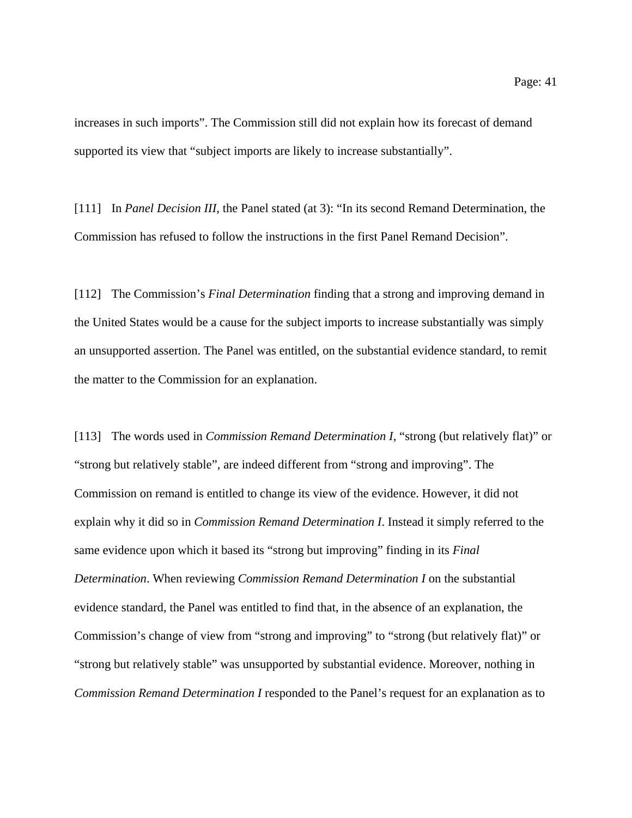increases in such imports". The Commission still did not explain how its forecast of demand supported its view that "subject imports are likely to increase substantially".

[111] In *Panel Decision III*, the Panel stated (at 3): "In its second Remand Determination, the Commission has refused to follow the instructions in the first Panel Remand Decision".

[112] The Commission's *Final Determination* finding that a strong and improving demand in the United States would be a cause for the subject imports to increase substantially was simply an unsupported assertion. The Panel was entitled, on the substantial evidence standard, to remit the matter to the Commission for an explanation.

[113] The words used in *Commission Remand Determination I*, "strong (but relatively flat)" or "strong but relatively stable", are indeed different from "strong and improving". The Commission on remand is entitled to change its view of the evidence. However, it did not explain why it did so in *Commission Remand Determination I*. Instead it simply referred to the same evidence upon which it based its "strong but improving" finding in its *Final Determination*. When reviewing *Commission Remand Determination I* on the substantial evidence standard, the Panel was entitled to find that, in the absence of an explanation, the Commission's change of view from "strong and improving" to "strong (but relatively flat)" or "strong but relatively stable" was unsupported by substantial evidence. Moreover, nothing in *Commission Remand Determination I* responded to the Panel's request for an explanation as to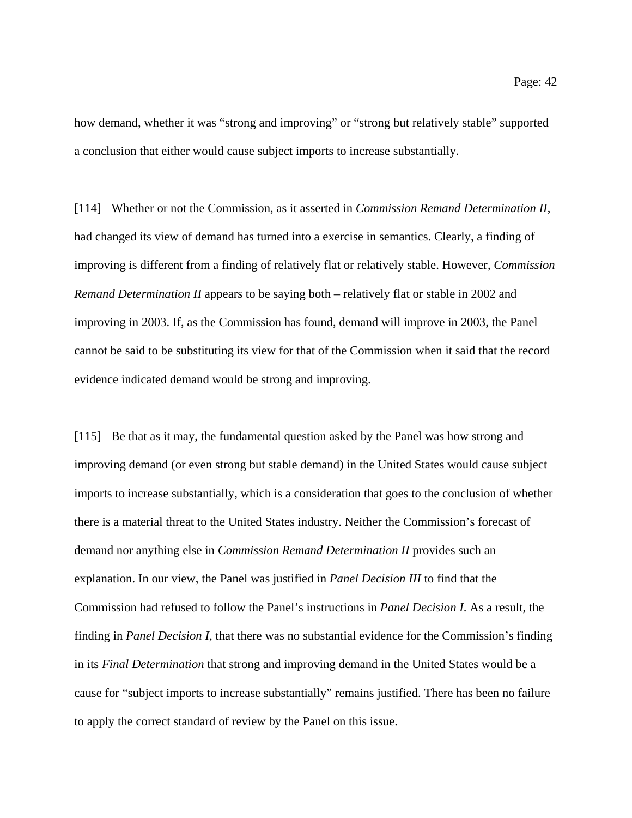how demand, whether it was "strong and improving" or "strong but relatively stable" supported a conclusion that either would cause subject imports to increase substantially.

[114] Whether or not the Commission, as it asserted in *Commission Remand Determination II*, had changed its view of demand has turned into a exercise in semantics. Clearly, a finding of improving is different from a finding of relatively flat or relatively stable. However, *Commission Remand Determination II* appears to be saying both – relatively flat or stable in 2002 and improving in 2003. If, as the Commission has found, demand will improve in 2003, the Panel cannot be said to be substituting its view for that of the Commission when it said that the record evidence indicated demand would be strong and improving.

[115] Be that as it may, the fundamental question asked by the Panel was how strong and improving demand (or even strong but stable demand) in the United States would cause subject imports to increase substantially, which is a consideration that goes to the conclusion of whether there is a material threat to the United States industry. Neither the Commission's forecast of demand nor anything else in *Commission Remand Determination II* provides such an explanation. In our view, the Panel was justified in *Panel Decision III* to find that the Commission had refused to follow the Panel's instructions in *Panel Decision I*. As a result, the finding in *Panel Decision I*, that there was no substantial evidence for the Commission's finding in its *Final Determination* that strong and improving demand in the United States would be a cause for "subject imports to increase substantially" remains justified. There has been no failure to apply the correct standard of review by the Panel on this issue.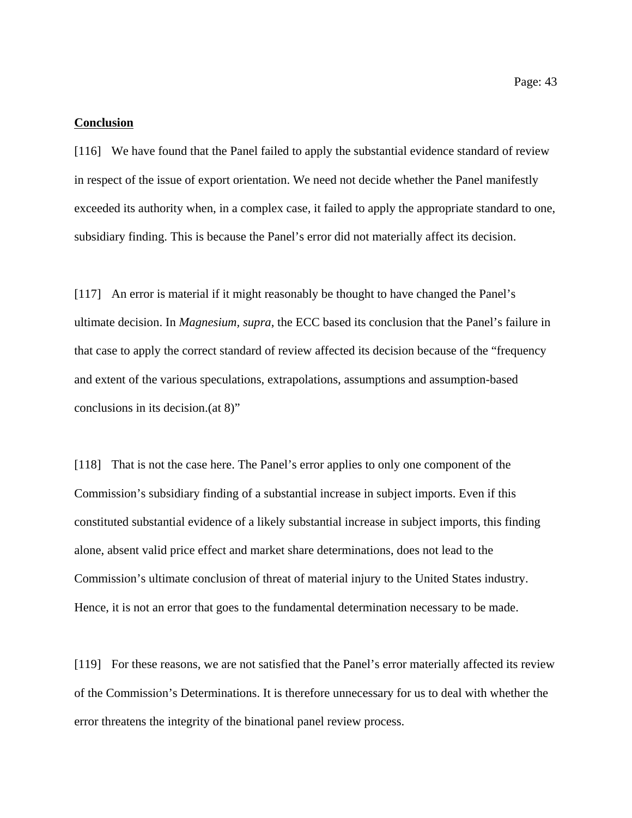#### **Conclusion**

[116] We have found that the Panel failed to apply the substantial evidence standard of review in respect of the issue of export orientation. We need not decide whether the Panel manifestly exceeded its authority when, in a complex case, it failed to apply the appropriate standard to one, subsidiary finding. This is because the Panel's error did not materially affect its decision.

[117] An error is material if it might reasonably be thought to have changed the Panel's ultimate decision. In *Magnesium, supra*, the ECC based its conclusion that the Panel's failure in that case to apply the correct standard of review affected its decision because of the "frequency and extent of the various speculations, extrapolations, assumptions and assumption-based conclusions in its decision.(at 8)"

[118] That is not the case here. The Panel's error applies to only one component of the Commission's subsidiary finding of a substantial increase in subject imports. Even if this constituted substantial evidence of a likely substantial increase in subject imports, this finding alone, absent valid price effect and market share determinations, does not lead to the Commission's ultimate conclusion of threat of material injury to the United States industry. Hence, it is not an error that goes to the fundamental determination necessary to be made.

[119] For these reasons, we are not satisfied that the Panel's error materially affected its review of the Commission's Determinations. It is therefore unnecessary for us to deal with whether the error threatens the integrity of the binational panel review process.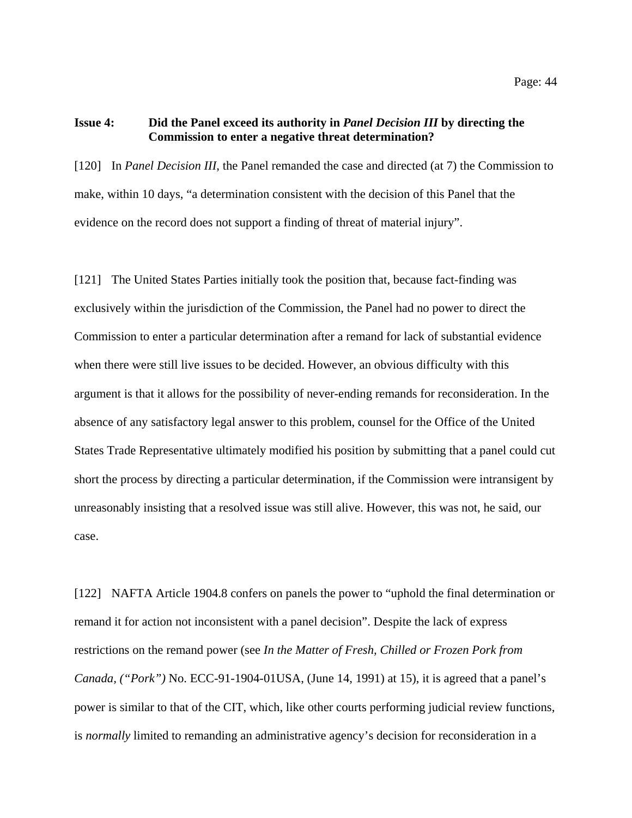## **Issue 4: Did the Panel exceed its authority in** *Panel Decision III* **by directing the Commission to enter a negative threat determination?**

[120] In *Panel Decision III*, the Panel remanded the case and directed (at 7) the Commission to make, within 10 days, "a determination consistent with the decision of this Panel that the evidence on the record does not support a finding of threat of material injury".

[121] The United States Parties initially took the position that, because fact-finding was exclusively within the jurisdiction of the Commission, the Panel had no power to direct the Commission to enter a particular determination after a remand for lack of substantial evidence when there were still live issues to be decided. However, an obvious difficulty with this argument is that it allows for the possibility of never-ending remands for reconsideration. In the absence of any satisfactory legal answer to this problem, counsel for the Office of the United States Trade Representative ultimately modified his position by submitting that a panel could cut short the process by directing a particular determination, if the Commission were intransigent by unreasonably insisting that a resolved issue was still alive. However, this was not, he said, our case.

[122] NAFTA Article 1904.8 confers on panels the power to "uphold the final determination or remand it for action not inconsistent with a panel decision". Despite the lack of express restrictions on the remand power (see *In the Matter of Fresh, Chilled or Frozen Pork from Canada, ("Pork")* No. ECC-91-1904-01USA, (June 14, 1991) at 15), it is agreed that a panel's power is similar to that of the CIT, which, like other courts performing judicial review functions, is *normally* limited to remanding an administrative agency's decision for reconsideration in a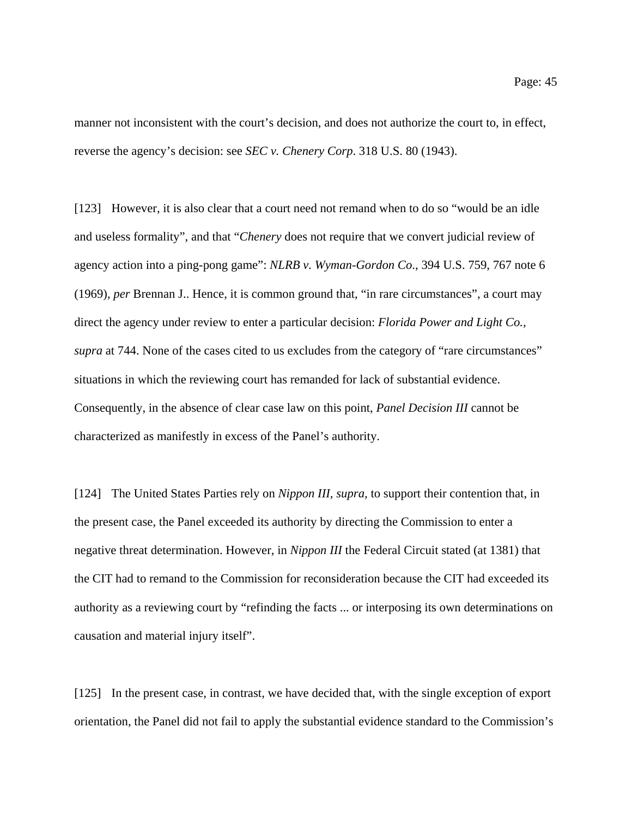manner not inconsistent with the court's decision, and does not authorize the court to, in effect, reverse the agency's decision: see *SEC v. Chenery Corp*. 318 U.S. 80 (1943).

[123] However, it is also clear that a court need not remand when to do so "would be an idle and useless formality", and that "*Chenery* does not require that we convert judicial review of agency action into a ping-pong game": *NLRB v. Wyman-Gordon Co*., 394 U.S. 759, 767 note 6 (1969), *per* Brennan J.. Hence, it is common ground that, "in rare circumstances", a court may direct the agency under review to enter a particular decision: *Florida Power and Light Co., supra* at 744. None of the cases cited to us excludes from the category of "rare circumstances" situations in which the reviewing court has remanded for lack of substantial evidence. Consequently, in the absence of clear case law on this point, *Panel Decision III* cannot be characterized as manifestly in excess of the Panel's authority.

[124] The United States Parties rely on *Nippon III, supra,* to support their contention that, in the present case, the Panel exceeded its authority by directing the Commission to enter a negative threat determination. However, in *Nippon III* the Federal Circuit stated (at 1381) that the CIT had to remand to the Commission for reconsideration because the CIT had exceeded its authority as a reviewing court by "refinding the facts ... or interposing its own determinations on causation and material injury itself".

[125] In the present case, in contrast, we have decided that, with the single exception of export orientation, the Panel did not fail to apply the substantial evidence standard to the Commission's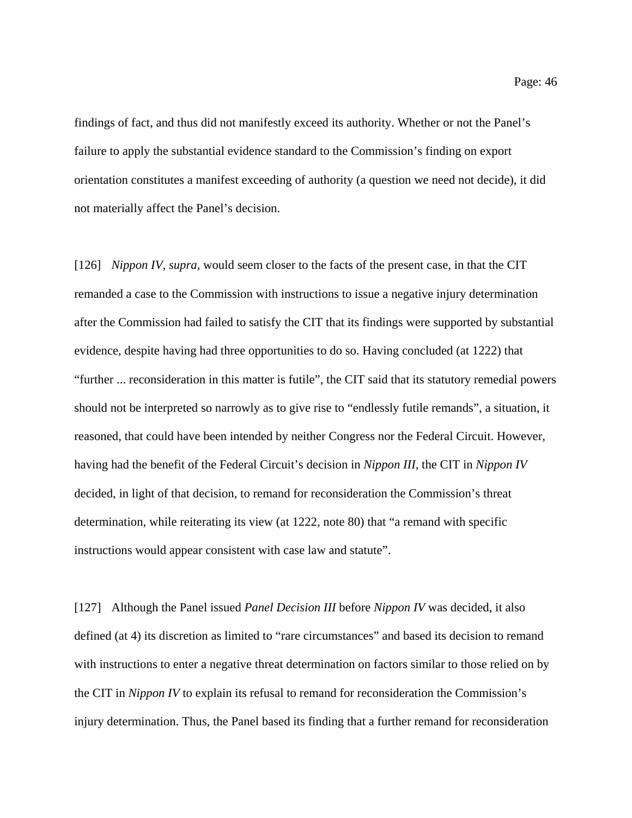findings of fact, and thus did not manifestly exceed its authority. Whether or not the Panel's failure to apply the substantial evidence standard to the Commission's finding on export orientation constitutes a manifest exceeding of authority (a question we need not decide), it did not materially affect the Panel's decision.

[126] *Nippon IV, supra,* would seem closer to the facts of the present case, in that the CIT remanded a case to the Commission with instructions to issue a negative injury determination after the Commission had failed to satisfy the CIT that its findings were supported by substantial evidence, despite having had three opportunities to do so. Having concluded (at 1222) that "further ... reconsideration in this matter is futile", the CIT said that its statutory remedial powers should not be interpreted so narrowly as to give rise to "endlessly futile remands", a situation, it reasoned, that could have been intended by neither Congress nor the Federal Circuit. However, having had the benefit of the Federal Circuit's decision in *Nippon III,* the CIT in *Nippon IV* decided, in light of that decision, to remand for reconsideration the Commission's threat determination, while reiterating its view (at 1222, note 80) that "a remand with specific instructions would appear consistent with case law and statute".

[127] Although the Panel issued *Panel Decision III* before *Nippon IV* was decided, it also defined (at 4) its discretion as limited to "rare circumstances" and based its decision to remand with instructions to enter a negative threat determination on factors similar to those relied on by the CIT in *Nippon IV* to explain its refusal to remand for reconsideration the Commission's injury determination. Thus, the Panel based its finding that a further remand for reconsideration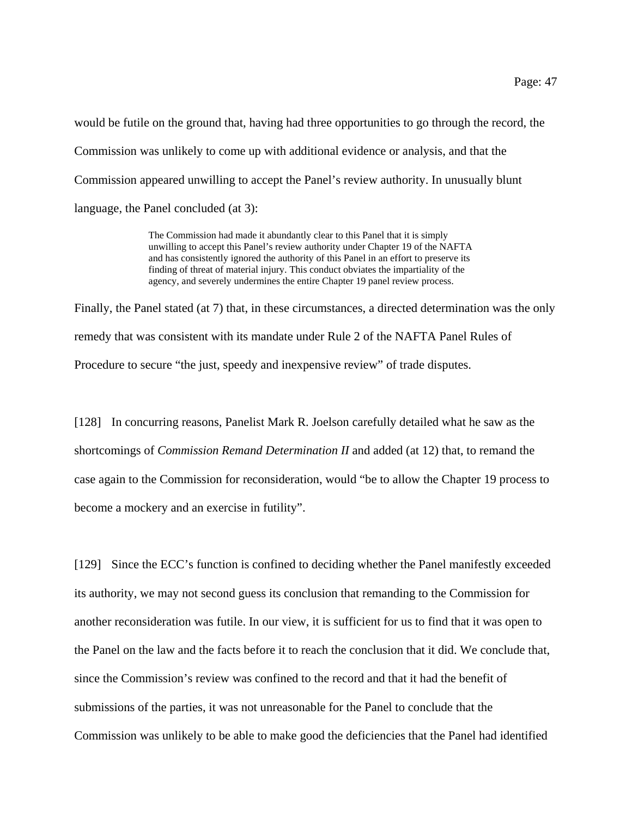would be futile on the ground that, having had three opportunities to go through the record, the Commission was unlikely to come up with additional evidence or analysis, and that the Commission appeared unwilling to accept the Panel's review authority. In unusually blunt language, the Panel concluded (at 3):

> The Commission had made it abundantly clear to this Panel that it is simply unwilling to accept this Panel's review authority under Chapter 19 of the NAFTA and has consistently ignored the authority of this Panel in an effort to preserve its finding of threat of material injury. This conduct obviates the impartiality of the agency, and severely undermines the entire Chapter 19 panel review process.

Finally, the Panel stated (at 7) that, in these circumstances, a directed determination was the only remedy that was consistent with its mandate under Rule 2 of the NAFTA Panel Rules of Procedure to secure "the just, speedy and inexpensive review" of trade disputes.

[128] In concurring reasons, Panelist Mark R. Joelson carefully detailed what he saw as the shortcomings of *Commission Remand Determination II* and added (at 12) that, to remand the case again to the Commission for reconsideration, would "be to allow the Chapter 19 process to become a mockery and an exercise in futility".

[129] Since the ECC's function is confined to deciding whether the Panel manifestly exceeded its authority, we may not second guess its conclusion that remanding to the Commission for another reconsideration was futile. In our view, it is sufficient for us to find that it was open to the Panel on the law and the facts before it to reach the conclusion that it did. We conclude that, since the Commission's review was confined to the record and that it had the benefit of submissions of the parties, it was not unreasonable for the Panel to conclude that the Commission was unlikely to be able to make good the deficiencies that the Panel had identified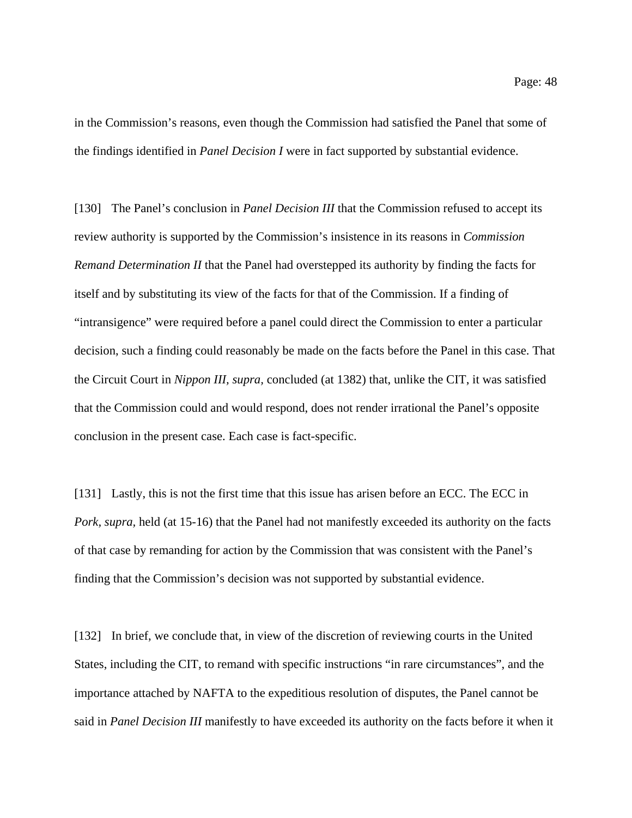in the Commission's reasons, even though the Commission had satisfied the Panel that some of the findings identified in *Panel Decision I* were in fact supported by substantial evidence.

[130] The Panel's conclusion in *Panel Decision III* that the Commission refused to accept its review authority is supported by the Commission's insistence in its reasons in *Commission Remand Determination II* that the Panel had overstepped its authority by finding the facts for itself and by substituting its view of the facts for that of the Commission. If a finding of "intransigence" were required before a panel could direct the Commission to enter a particular decision, such a finding could reasonably be made on the facts before the Panel in this case. That the Circuit Court in *Nippon III, supra,* concluded (at 1382) that, unlike the CIT, it was satisfied that the Commission could and would respond, does not render irrational the Panel's opposite conclusion in the present case. Each case is fact-specific.

[131] Lastly, this is not the first time that this issue has arisen before an ECC. The ECC in *Pork, supra,* held (at 15-16) that the Panel had not manifestly exceeded its authority on the facts of that case by remanding for action by the Commission that was consistent with the Panel's finding that the Commission's decision was not supported by substantial evidence.

[132] In brief, we conclude that, in view of the discretion of reviewing courts in the United States, including the CIT, to remand with specific instructions "in rare circumstances", and the importance attached by NAFTA to the expeditious resolution of disputes, the Panel cannot be said in *Panel Decision III* manifestly to have exceeded its authority on the facts before it when it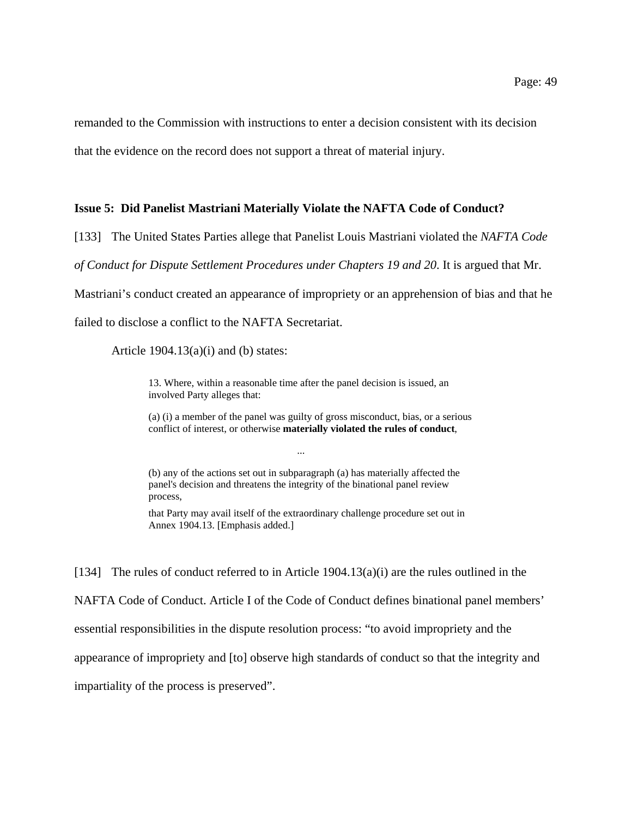remanded to the Commission with instructions to enter a decision consistent with its decision that the evidence on the record does not support a threat of material injury.

#### **Issue 5: Did Panelist Mastriani Materially Violate the NAFTA Code of Conduct?**

[133] The United States Parties allege that Panelist Louis Mastriani violated the *NAFTA Code*

*of Conduct for Dispute Settlement Procedures under Chapters 19 and 20*. It is argued that Mr.

Mastriani's conduct created an appearance of impropriety or an apprehension of bias and that he

failed to disclose a conflict to the NAFTA Secretariat.

Article  $1904.13(a)(i)$  and (b) states:

13. Where, within a reasonable time after the panel decision is issued, an involved Party alleges that:

(a) (i) a member of the panel was guilty of gross misconduct, bias, or a serious conflict of interest, or otherwise **materially violated the rules of conduct**,

(b) any of the actions set out in subparagraph (a) has materially affected the panel's decision and threatens the integrity of the binational panel review process,

...

that Party may avail itself of the extraordinary challenge procedure set out in Annex 1904.13. [Emphasis added.]

[134] The rules of conduct referred to in Article 1904.13(a)(i) are the rules outlined in the NAFTA Code of Conduct. Article I of the Code of Conduct defines binational panel members' essential responsibilities in the dispute resolution process: "to avoid impropriety and the appearance of impropriety and [to] observe high standards of conduct so that the integrity and impartiality of the process is preserved".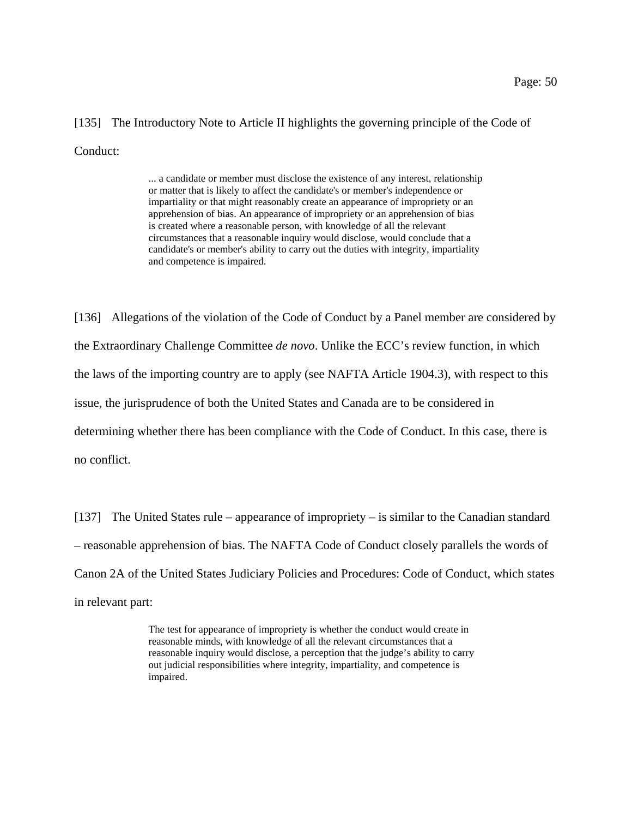# [135] The Introductory Note to Article II highlights the governing principle of the Code of Conduct:

... a candidate or member must disclose the existence of any interest, relationship or matter that is likely to affect the candidate's or member's independence or impartiality or that might reasonably create an appearance of impropriety or an apprehension of bias. An appearance of impropriety or an apprehension of bias is created where a reasonable person, with knowledge of all the relevant circumstances that a reasonable inquiry would disclose, would conclude that a candidate's or member's ability to carry out the duties with integrity, impartiality and competence is impaired.

[136] Allegations of the violation of the Code of Conduct by a Panel member are considered by the Extraordinary Challenge Committee *de novo*. Unlike the ECC's review function, in which the laws of the importing country are to apply (see NAFTA Article 1904.3), with respect to this issue, the jurisprudence of both the United States and Canada are to be considered in determining whether there has been compliance with the Code of Conduct. In this case, there is no conflict.

[137] The United States rule – appearance of impropriety – is similar to the Canadian standard – reasonable apprehension of bias. The NAFTA Code of Conduct closely parallels the words of Canon 2A of the United States Judiciary Policies and Procedures: Code of Conduct, which states in relevant part:

> The test for appearance of impropriety is whether the conduct would create in reasonable minds, with knowledge of all the relevant circumstances that a reasonable inquiry would disclose, a perception that the judge's ability to carry out judicial responsibilities where integrity, impartiality, and competence is impaired.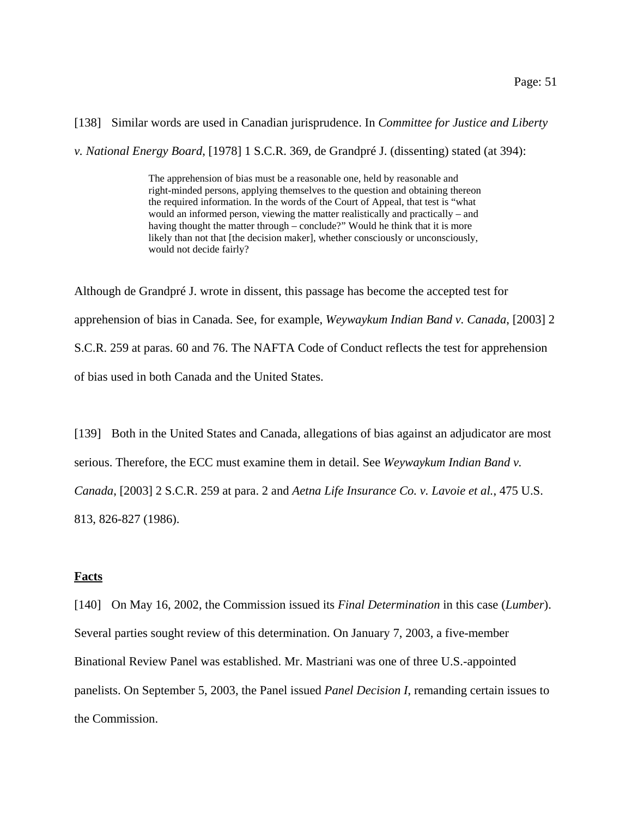[138] Similar words are used in Canadian jurisprudence. In *Committee for Justice and Liberty*

*v. National Energy Board*, [1978] 1 S.C.R. 369, de Grandpré J. (dissenting) stated (at 394):

The apprehension of bias must be a reasonable one, held by reasonable and right-minded persons, applying themselves to the question and obtaining thereon the required information. In the words of the Court of Appeal, that test is "what would an informed person, viewing the matter realistically and practically – and having thought the matter through – conclude?" Would he think that it is more likely than not that [the decision maker], whether consciously or unconsciously, would not decide fairly?

Although de Grandpré J. wrote in dissent, this passage has become the accepted test for apprehension of bias in Canada. See, for example, *Weywaykum Indian Band v. Canada*, [2003] 2 S.C.R. 259 at paras. 60 and 76. The NAFTA Code of Conduct reflects the test for apprehension of bias used in both Canada and the United States.

[139] Both in the United States and Canada, allegations of bias against an adjudicator are most serious. Therefore, the ECC must examine them in detail. See *Weywaykum Indian Band v. Canada*, [2003] 2 S.C.R. 259 at para. 2 and *Aetna Life Insurance Co. v. Lavoie et al.*, 475 U.S. 813, 826-827 (1986).

#### **Facts**

[140] On May 16, 2002, the Commission issued its *Final Determination* in this case (*Lumber*). Several parties sought review of this determination. On January 7, 2003, a five-member Binational Review Panel was established. Mr. Mastriani was one of three U.S.-appointed panelists. On September 5, 2003, the Panel issued *Panel Decision I*, remanding certain issues to the Commission.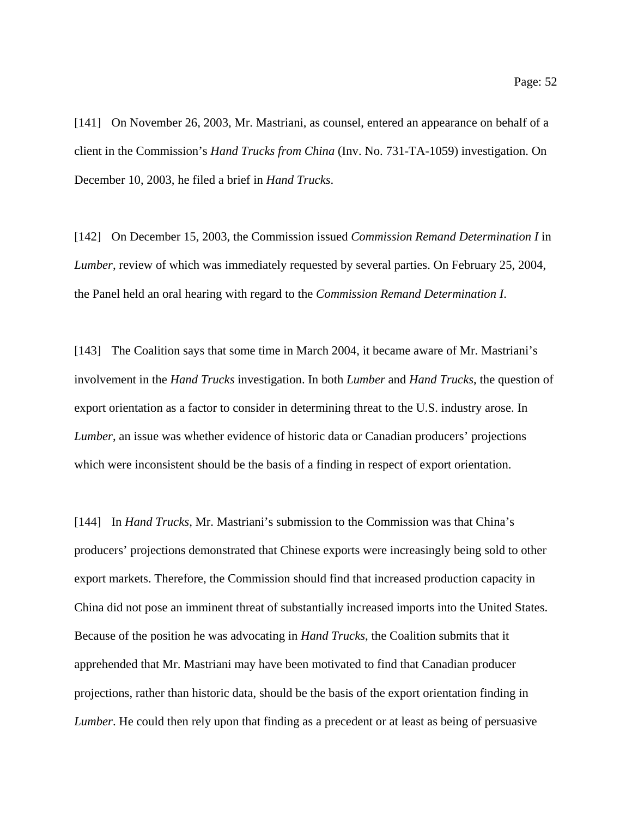[141] On November 26, 2003, Mr. Mastriani, as counsel, entered an appearance on behalf of a client in the Commission's *Hand Trucks from China* (Inv. No. 731-TA-1059) investigation. On December 10, 2003, he filed a brief in *Hand Trucks*.

[142] On December 15, 2003, the Commission issued *Commission Remand Determination I* in *Lumber*, review of which was immediately requested by several parties. On February 25, 2004, the Panel held an oral hearing with regard to the *Commission Remand Determination I*.

[143] The Coalition says that some time in March 2004, it became aware of Mr. Mastriani's involvement in the *Hand Trucks* investigation. In both *Lumber* and *Hand Trucks*, the question of export orientation as a factor to consider in determining threat to the U.S. industry arose. In *Lumber*, an issue was whether evidence of historic data or Canadian producers' projections which were inconsistent should be the basis of a finding in respect of export orientation.

[144] In *Hand Trucks*, Mr. Mastriani's submission to the Commission was that China's producers' projections demonstrated that Chinese exports were increasingly being sold to other export markets. Therefore, the Commission should find that increased production capacity in China did not pose an imminent threat of substantially increased imports into the United States. Because of the position he was advocating in *Hand Trucks*, the Coalition submits that it apprehended that Mr. Mastriani may have been motivated to find that Canadian producer projections, rather than historic data, should be the basis of the export orientation finding in *Lumber*. He could then rely upon that finding as a precedent or at least as being of persuasive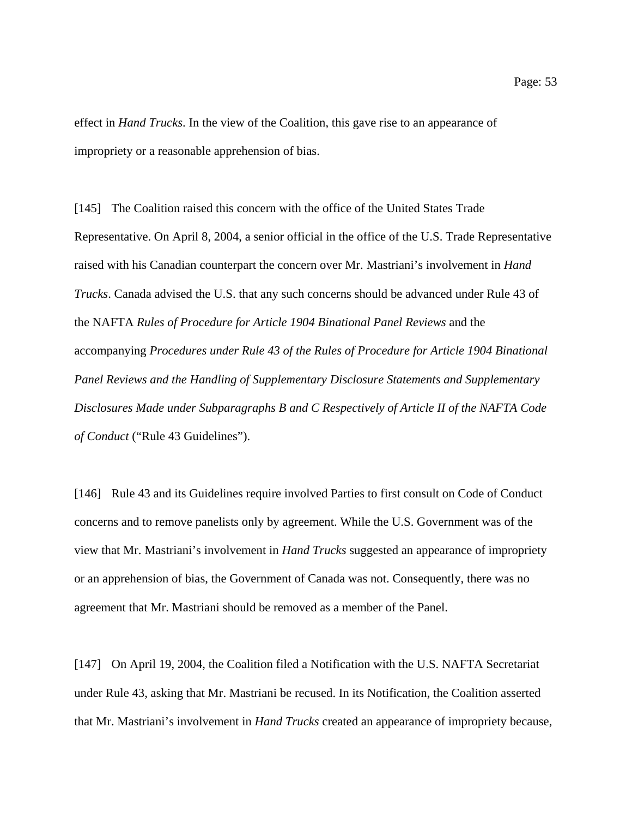effect in *Hand Trucks*. In the view of the Coalition, this gave rise to an appearance of impropriety or a reasonable apprehension of bias.

[145] The Coalition raised this concern with the office of the United States Trade Representative. On April 8, 2004, a senior official in the office of the U.S. Trade Representative raised with his Canadian counterpart the concern over Mr. Mastriani's involvement in *Hand Trucks*. Canada advised the U.S. that any such concerns should be advanced under Rule 43 of the NAFTA *Rules of Procedure for Article 1904 Binational Panel Reviews* and the accompanying *Procedures under Rule 43 of the Rules of Procedure for Article 1904 Binational Panel Reviews and the Handling of Supplementary Disclosure Statements and Supplementary Disclosures Made under Subparagraphs B and C Respectively of Article II of the NAFTA Code of Conduct* ("Rule 43 Guidelines").

[146] Rule 43 and its Guidelines require involved Parties to first consult on Code of Conduct concerns and to remove panelists only by agreement. While the U.S. Government was of the view that Mr. Mastriani's involvement in *Hand Trucks* suggested an appearance of impropriety or an apprehension of bias, the Government of Canada was not. Consequently, there was no agreement that Mr. Mastriani should be removed as a member of the Panel.

[147] On April 19, 2004, the Coalition filed a Notification with the U.S. NAFTA Secretariat under Rule 43, asking that Mr. Mastriani be recused. In its Notification, the Coalition asserted that Mr. Mastriani's involvement in *Hand Trucks* created an appearance of impropriety because,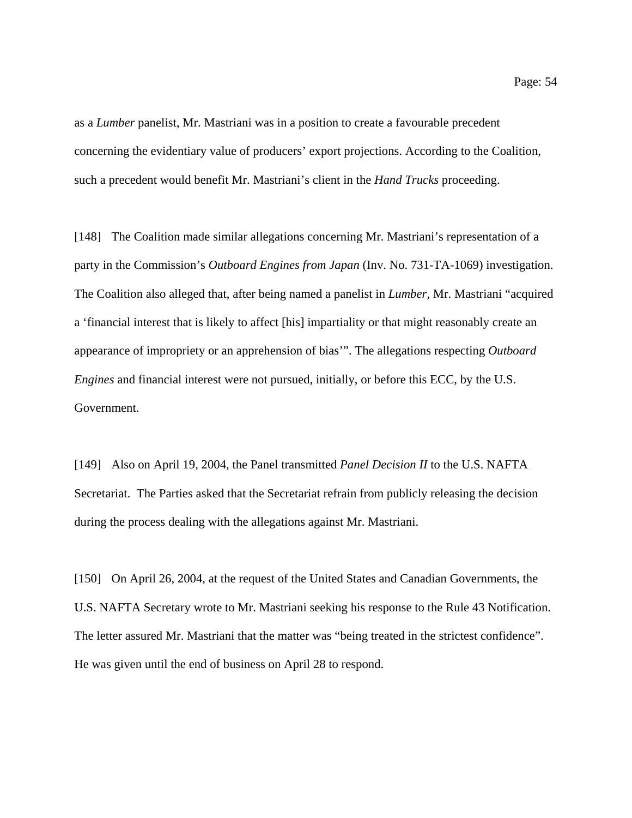as a *Lumber* panelist, Mr. Mastriani was in a position to create a favourable precedent concerning the evidentiary value of producers' export projections. According to the Coalition, such a precedent would benefit Mr. Mastriani's client in the *Hand Trucks* proceeding.

[148] The Coalition made similar allegations concerning Mr. Mastriani's representation of a party in the Commission's *Outboard Engines from Japan* (Inv. No. 731-TA-1069) investigation. The Coalition also alleged that, after being named a panelist in *Lumber*, Mr. Mastriani "acquired a 'financial interest that is likely to affect [his] impartiality or that might reasonably create an appearance of impropriety or an apprehension of bias'". The allegations respecting *Outboard Engines* and financial interest were not pursued, initially, or before this ECC, by the U.S. Government.

[149] Also on April 19, 2004, the Panel transmitted *Panel Decision II* to the U.S. NAFTA Secretariat. The Parties asked that the Secretariat refrain from publicly releasing the decision during the process dealing with the allegations against Mr. Mastriani.

[150] On April 26, 2004, at the request of the United States and Canadian Governments, the U.S. NAFTA Secretary wrote to Mr. Mastriani seeking his response to the Rule 43 Notification. The letter assured Mr. Mastriani that the matter was "being treated in the strictest confidence". He was given until the end of business on April 28 to respond.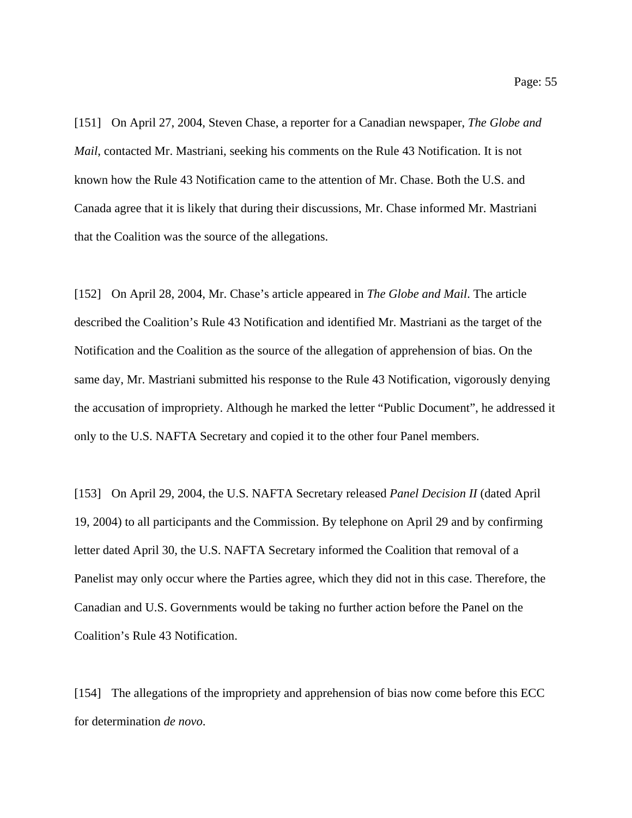[151] On April 27, 2004, Steven Chase, a reporter for a Canadian newspaper, *The Globe and Mail*, contacted Mr. Mastriani, seeking his comments on the Rule 43 Notification. It is not known how the Rule 43 Notification came to the attention of Mr. Chase. Both the U.S. and Canada agree that it is likely that during their discussions, Mr. Chase informed Mr. Mastriani that the Coalition was the source of the allegations.

[152] On April 28, 2004, Mr. Chase's article appeared in *The Globe and Mail*. The article described the Coalition's Rule 43 Notification and identified Mr. Mastriani as the target of the Notification and the Coalition as the source of the allegation of apprehension of bias. On the same day, Mr. Mastriani submitted his response to the Rule 43 Notification, vigorously denying the accusation of impropriety. Although he marked the letter "Public Document", he addressed it only to the U.S. NAFTA Secretary and copied it to the other four Panel members.

[153] On April 29, 2004, the U.S. NAFTA Secretary released *Panel Decision II* (dated April 19, 2004) to all participants and the Commission. By telephone on April 29 and by confirming letter dated April 30, the U.S. NAFTA Secretary informed the Coalition that removal of a Panelist may only occur where the Parties agree, which they did not in this case. Therefore, the Canadian and U.S. Governments would be taking no further action before the Panel on the Coalition's Rule 43 Notification.

[154] The allegations of the impropriety and apprehension of bias now come before this ECC for determination *de novo*.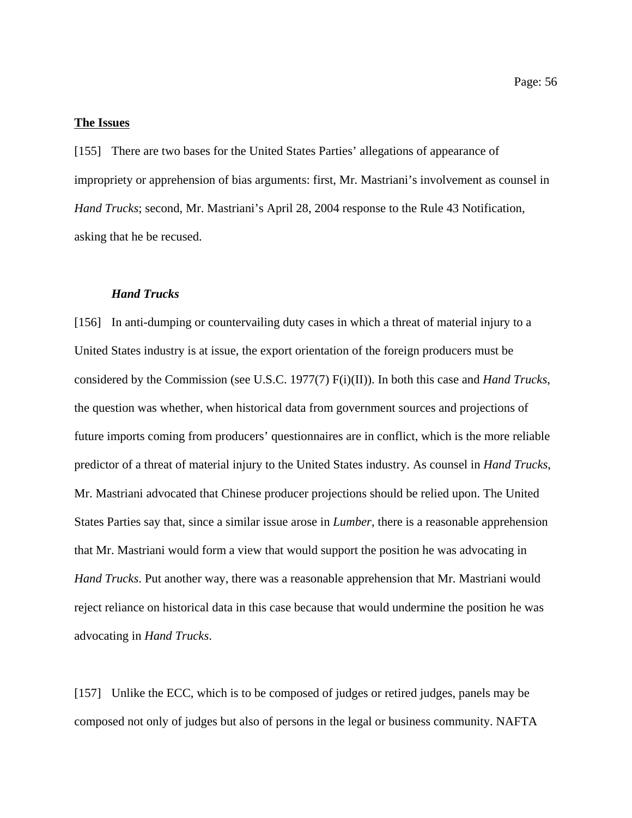#### **The Issues**

[155] There are two bases for the United States Parties' allegations of appearance of impropriety or apprehension of bias arguments: first, Mr. Mastriani's involvement as counsel in *Hand Trucks*; second, Mr. Mastriani's April 28, 2004 response to the Rule 43 Notification, asking that he be recused.

#### *Hand Trucks*

[156] In anti-dumping or countervailing duty cases in which a threat of material injury to a United States industry is at issue, the export orientation of the foreign producers must be considered by the Commission (see U.S.C. 1977(7) F(i)(II)). In both this case and *Hand Trucks*, the question was whether, when historical data from government sources and projections of future imports coming from producers' questionnaires are in conflict, which is the more reliable predictor of a threat of material injury to the United States industry. As counsel in *Hand Trucks*, Mr. Mastriani advocated that Chinese producer projections should be relied upon. The United States Parties say that, since a similar issue arose in *Lumber*, there is a reasonable apprehension that Mr. Mastriani would form a view that would support the position he was advocating in *Hand Trucks*. Put another way, there was a reasonable apprehension that Mr. Mastriani would reject reliance on historical data in this case because that would undermine the position he was advocating in *Hand Trucks*.

[157] Unlike the ECC, which is to be composed of judges or retired judges, panels may be composed not only of judges but also of persons in the legal or business community. NAFTA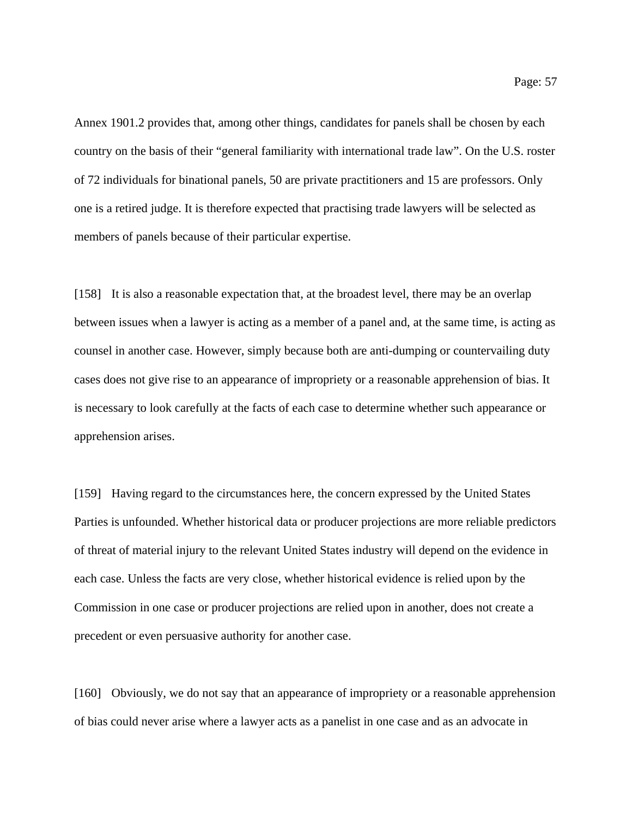Annex 1901.2 provides that, among other things, candidates for panels shall be chosen by each country on the basis of their "general familiarity with international trade law". On the U.S. roster of 72 individuals for binational panels, 50 are private practitioners and 15 are professors. Only one is a retired judge. It is therefore expected that practising trade lawyers will be selected as members of panels because of their particular expertise.

[158] It is also a reasonable expectation that, at the broadest level, there may be an overlap between issues when a lawyer is acting as a member of a panel and, at the same time, is acting as counsel in another case. However, simply because both are anti-dumping or countervailing duty cases does not give rise to an appearance of impropriety or a reasonable apprehension of bias. It is necessary to look carefully at the facts of each case to determine whether such appearance or apprehension arises.

[159] Having regard to the circumstances here, the concern expressed by the United States Parties is unfounded. Whether historical data or producer projections are more reliable predictors of threat of material injury to the relevant United States industry will depend on the evidence in each case. Unless the facts are very close, whether historical evidence is relied upon by the Commission in one case or producer projections are relied upon in another, does not create a precedent or even persuasive authority for another case.

[160] Obviously, we do not say that an appearance of impropriety or a reasonable apprehension of bias could never arise where a lawyer acts as a panelist in one case and as an advocate in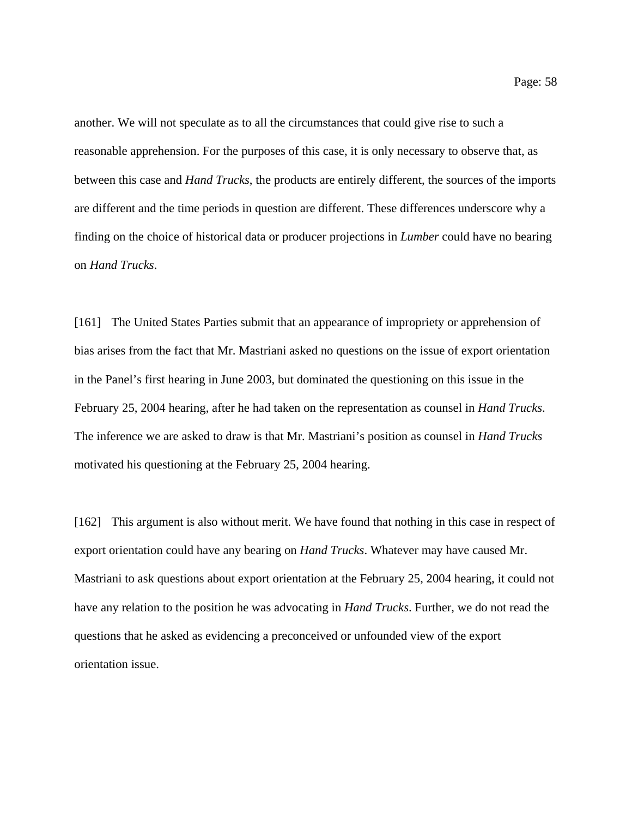another. We will not speculate as to all the circumstances that could give rise to such a reasonable apprehension. For the purposes of this case, it is only necessary to observe that, as between this case and *Hand Trucks*, the products are entirely different, the sources of the imports are different and the time periods in question are different. These differences underscore why a finding on the choice of historical data or producer projections in *Lumber* could have no bearing on *Hand Trucks*.

[161] The United States Parties submit that an appearance of impropriety or apprehension of bias arises from the fact that Mr. Mastriani asked no questions on the issue of export orientation in the Panel's first hearing in June 2003, but dominated the questioning on this issue in the February 25, 2004 hearing, after he had taken on the representation as counsel in *Hand Trucks*. The inference we are asked to draw is that Mr. Mastriani's position as counsel in *Hand Trucks* motivated his questioning at the February 25, 2004 hearing.

[162] This argument is also without merit. We have found that nothing in this case in respect of export orientation could have any bearing on *Hand Trucks*. Whatever may have caused Mr. Mastriani to ask questions about export orientation at the February 25, 2004 hearing, it could not have any relation to the position he was advocating in *Hand Trucks*. Further, we do not read the questions that he asked as evidencing a preconceived or unfounded view of the export orientation issue.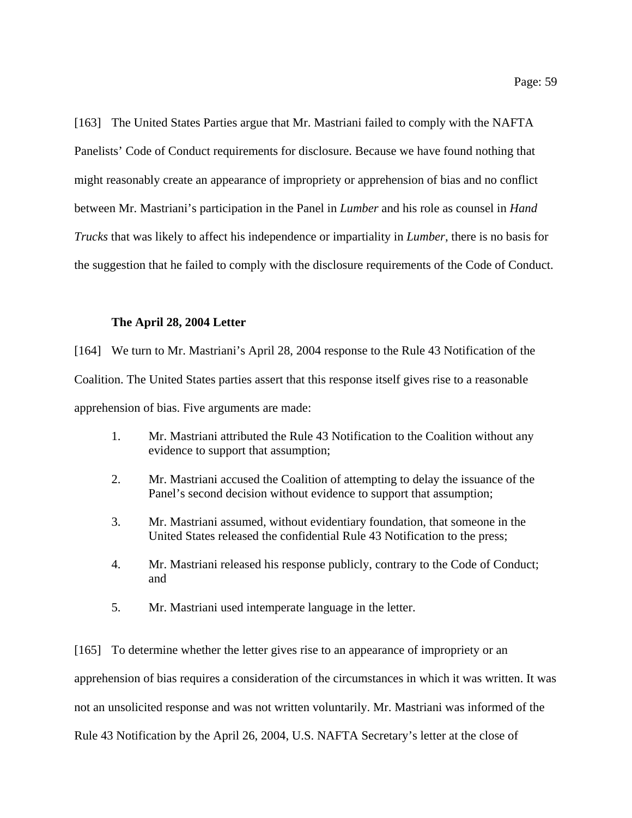[163] The United States Parties argue that Mr. Mastriani failed to comply with the NAFTA Panelists' Code of Conduct requirements for disclosure. Because we have found nothing that might reasonably create an appearance of impropriety or apprehension of bias and no conflict between Mr. Mastriani's participation in the Panel in *Lumber* and his role as counsel in *Hand Trucks* that was likely to affect his independence or impartiality in *Lumber*, there is no basis for the suggestion that he failed to comply with the disclosure requirements of the Code of Conduct.

#### **The April 28, 2004 Letter**

[164] We turn to Mr. Mastriani's April 28, 2004 response to the Rule 43 Notification of the Coalition. The United States parties assert that this response itself gives rise to a reasonable apprehension of bias. Five arguments are made:

- 1. Mr. Mastriani attributed the Rule 43 Notification to the Coalition without any evidence to support that assumption;
- 2. Mr. Mastriani accused the Coalition of attempting to delay the issuance of the Panel's second decision without evidence to support that assumption;
- 3. Mr. Mastriani assumed, without evidentiary foundation, that someone in the United States released the confidential Rule 43 Notification to the press;
- 4. Mr. Mastriani released his response publicly, contrary to the Code of Conduct; and
- 5. Mr. Mastriani used intemperate language in the letter.

[165] To determine whether the letter gives rise to an appearance of impropriety or an apprehension of bias requires a consideration of the circumstances in which it was written. It was not an unsolicited response and was not written voluntarily. Mr. Mastriani was informed of the Rule 43 Notification by the April 26, 2004, U.S. NAFTA Secretary's letter at the close of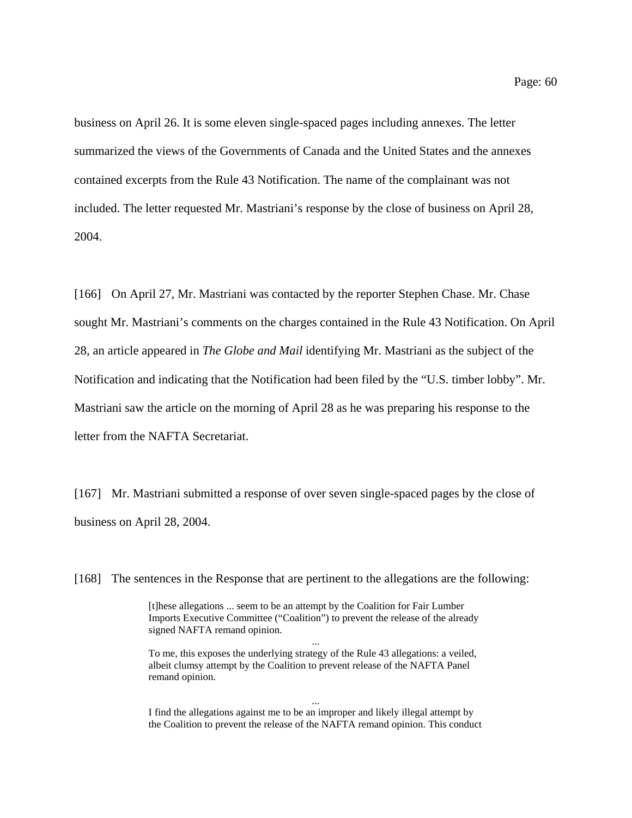business on April 26. It is some eleven single-spaced pages including annexes. The letter summarized the views of the Governments of Canada and the United States and the annexes contained excerpts from the Rule 43 Notification. The name of the complainant was not included. The letter requested Mr. Mastriani's response by the close of business on April 28, 2004.

[166] On April 27, Mr. Mastriani was contacted by the reporter Stephen Chase. Mr. Chase sought Mr. Mastriani's comments on the charges contained in the Rule 43 Notification. On April 28, an article appeared in *The Globe and Mail* identifying Mr. Mastriani as the subject of the Notification and indicating that the Notification had been filed by the "U.S. timber lobby". Mr. Mastriani saw the article on the morning of April 28 as he was preparing his response to the letter from the NAFTA Secretariat.

[167] Mr. Mastriani submitted a response of over seven single-spaced pages by the close of business on April 28, 2004.

[168] The sentences in the Response that are pertinent to the allegations are the following:

[t]hese allegations ... seem to be an attempt by the Coalition for Fair Lumber Imports Executive Committee ("Coalition") to prevent the release of the already signed NAFTA remand opinion.

...

To me, this exposes the underlying strategy of the Rule 43 allegations: a veiled, albeit clumsy attempt by the Coalition to prevent release of the NAFTA Panel remand opinion.

... I find the allegations against me to be an improper and likely illegal attempt by the Coalition to prevent the release of the NAFTA remand opinion. This conduct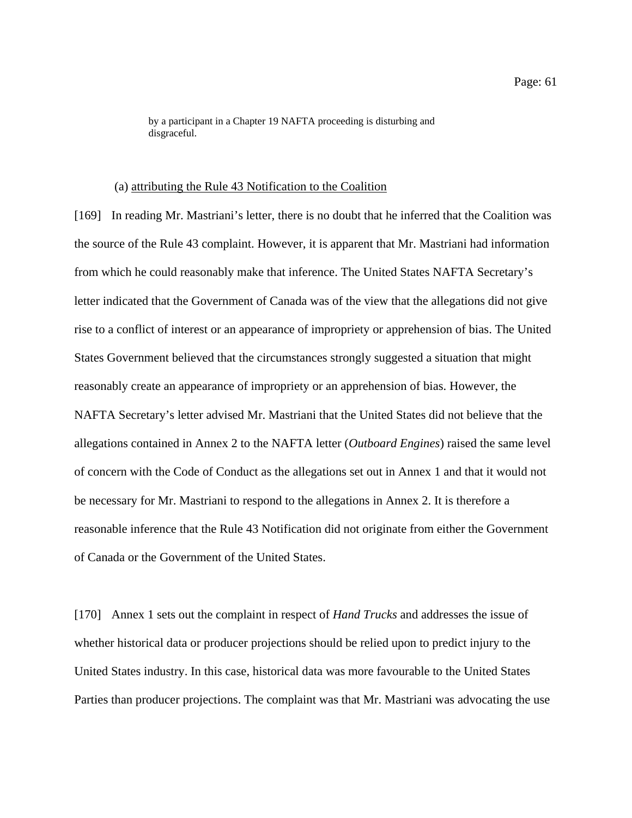by a participant in a Chapter 19 NAFTA proceeding is disturbing and disgraceful.

#### (a) attributing the Rule 43 Notification to the Coalition

[169] In reading Mr. Mastriani's letter, there is no doubt that he inferred that the Coalition was the source of the Rule 43 complaint. However, it is apparent that Mr. Mastriani had information from which he could reasonably make that inference. The United States NAFTA Secretary's letter indicated that the Government of Canada was of the view that the allegations did not give rise to a conflict of interest or an appearance of impropriety or apprehension of bias. The United States Government believed that the circumstances strongly suggested a situation that might reasonably create an appearance of impropriety or an apprehension of bias. However, the NAFTA Secretary's letter advised Mr. Mastriani that the United States did not believe that the allegations contained in Annex 2 to the NAFTA letter (*Outboard Engines*) raised the same level of concern with the Code of Conduct as the allegations set out in Annex 1 and that it would not be necessary for Mr. Mastriani to respond to the allegations in Annex 2. It is therefore a reasonable inference that the Rule 43 Notification did not originate from either the Government of Canada or the Government of the United States.

[170] Annex 1 sets out the complaint in respect of *Hand Trucks* and addresses the issue of whether historical data or producer projections should be relied upon to predict injury to the United States industry. In this case, historical data was more favourable to the United States Parties than producer projections. The complaint was that Mr. Mastriani was advocating the use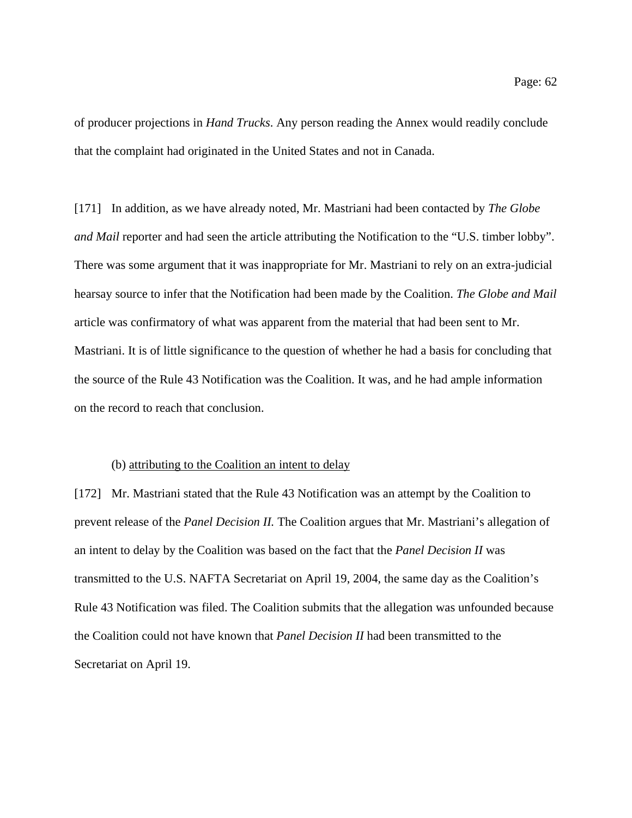of producer projections in *Hand Trucks*. Any person reading the Annex would readily conclude that the complaint had originated in the United States and not in Canada.

[171] In addition, as we have already noted, Mr. Mastriani had been contacted by *The Globe and Mail* reporter and had seen the article attributing the Notification to the "U.S. timber lobby". There was some argument that it was inappropriate for Mr. Mastriani to rely on an extra-judicial hearsay source to infer that the Notification had been made by the Coalition. *The Globe and Mail* article was confirmatory of what was apparent from the material that had been sent to Mr. Mastriani. It is of little significance to the question of whether he had a basis for concluding that the source of the Rule 43 Notification was the Coalition. It was, and he had ample information on the record to reach that conclusion.

#### (b) attributing to the Coalition an intent to delay

[172] Mr. Mastriani stated that the Rule 43 Notification was an attempt by the Coalition to prevent release of the *Panel Decision II.* The Coalition argues that Mr. Mastriani's allegation of an intent to delay by the Coalition was based on the fact that the *Panel Decision II* was transmitted to the U.S. NAFTA Secretariat on April 19, 2004, the same day as the Coalition's Rule 43 Notification was filed. The Coalition submits that the allegation was unfounded because the Coalition could not have known that *Panel Decision II* had been transmitted to the Secretariat on April 19.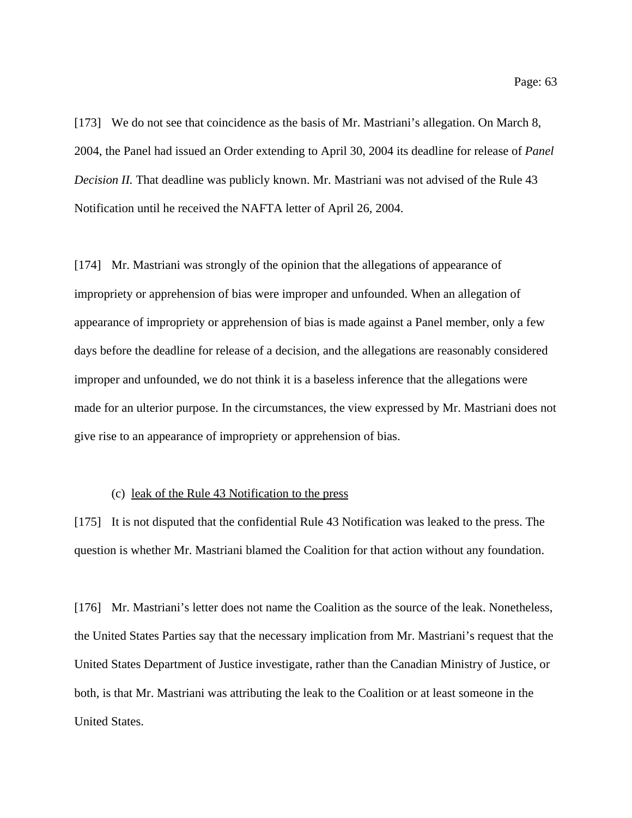[173] We do not see that coincidence as the basis of Mr. Mastriani's allegation. On March 8, 2004, the Panel had issued an Order extending to April 30, 2004 its deadline for release of *Panel Decision II.* That deadline was publicly known. Mr. Mastriani was not advised of the Rule 43 Notification until he received the NAFTA letter of April 26, 2004.

[174] Mr. Mastriani was strongly of the opinion that the allegations of appearance of impropriety or apprehension of bias were improper and unfounded. When an allegation of appearance of impropriety or apprehension of bias is made against a Panel member, only a few days before the deadline for release of a decision, and the allegations are reasonably considered improper and unfounded, we do not think it is a baseless inference that the allegations were made for an ulterior purpose. In the circumstances, the view expressed by Mr. Mastriani does not give rise to an appearance of impropriety or apprehension of bias.

## (c) leak of the Rule 43 Notification to the press

[175] It is not disputed that the confidential Rule 43 Notification was leaked to the press. The question is whether Mr. Mastriani blamed the Coalition for that action without any foundation.

[176] Mr. Mastriani's letter does not name the Coalition as the source of the leak. Nonetheless, the United States Parties say that the necessary implication from Mr. Mastriani's request that the United States Department of Justice investigate, rather than the Canadian Ministry of Justice, or both, is that Mr. Mastriani was attributing the leak to the Coalition or at least someone in the United States.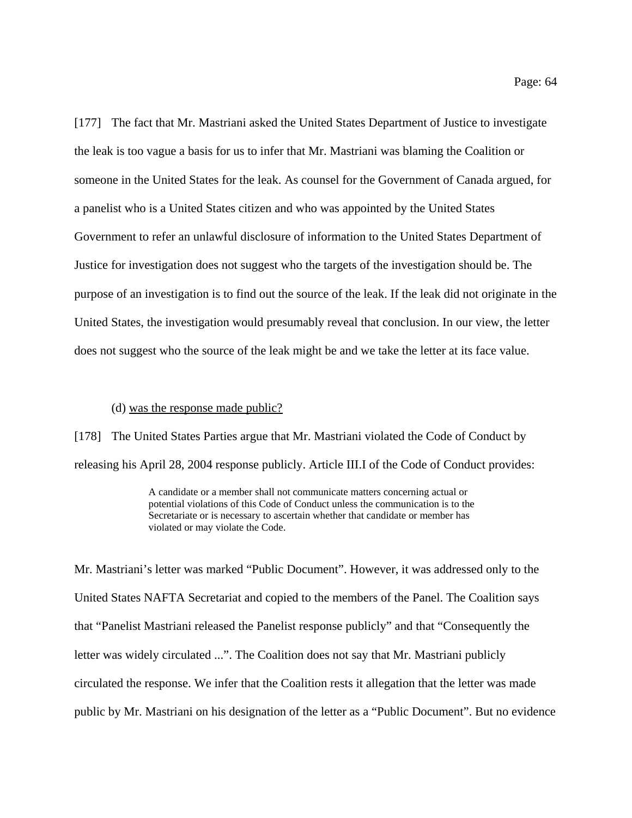[177] The fact that Mr. Mastriani asked the United States Department of Justice to investigate the leak is too vague a basis for us to infer that Mr. Mastriani was blaming the Coalition or someone in the United States for the leak. As counsel for the Government of Canada argued, for a panelist who is a United States citizen and who was appointed by the United States Government to refer an unlawful disclosure of information to the United States Department of Justice for investigation does not suggest who the targets of the investigation should be. The purpose of an investigation is to find out the source of the leak. If the leak did not originate in the United States, the investigation would presumably reveal that conclusion. In our view, the letter does not suggest who the source of the leak might be and we take the letter at its face value.

#### (d) was the response made public?

[178] The United States Parties argue that Mr. Mastriani violated the Code of Conduct by releasing his April 28, 2004 response publicly. Article III.I of the Code of Conduct provides:

> A candidate or a member shall not communicate matters concerning actual or potential violations of this Code of Conduct unless the communication is to the Secretariate or is necessary to ascertain whether that candidate or member has violated or may violate the Code.

Mr. Mastriani's letter was marked "Public Document". However, it was addressed only to the United States NAFTA Secretariat and copied to the members of the Panel. The Coalition says that "Panelist Mastriani released the Panelist response publicly" and that "Consequently the letter was widely circulated ...". The Coalition does not say that Mr. Mastriani publicly circulated the response. We infer that the Coalition rests it allegation that the letter was made public by Mr. Mastriani on his designation of the letter as a "Public Document". But no evidence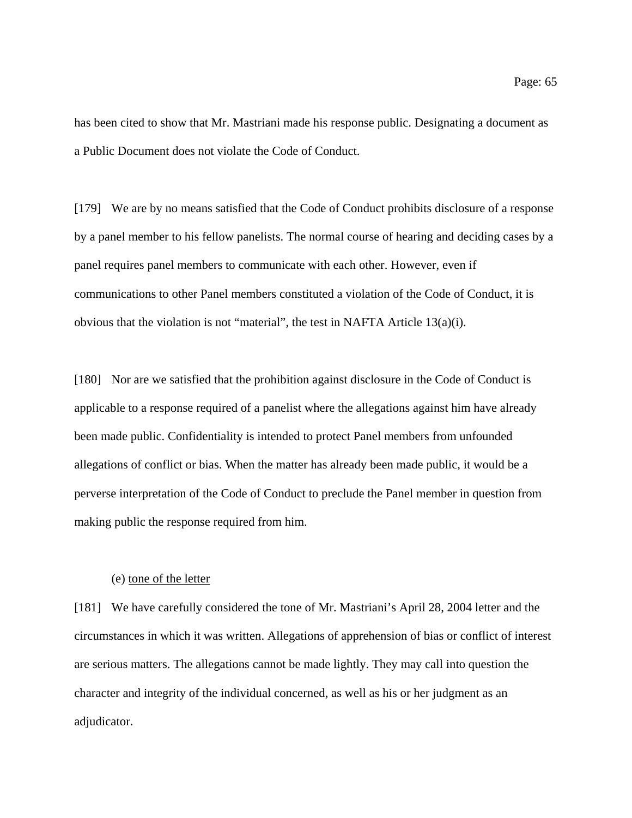has been cited to show that Mr. Mastriani made his response public. Designating a document as a Public Document does not violate the Code of Conduct.

[179] We are by no means satisfied that the Code of Conduct prohibits disclosure of a response by a panel member to his fellow panelists. The normal course of hearing and deciding cases by a panel requires panel members to communicate with each other. However, even if communications to other Panel members constituted a violation of the Code of Conduct, it is obvious that the violation is not "material", the test in NAFTA Article 13(a)(i).

[180] Nor are we satisfied that the prohibition against disclosure in the Code of Conduct is applicable to a response required of a panelist where the allegations against him have already been made public. Confidentiality is intended to protect Panel members from unfounded allegations of conflict or bias. When the matter has already been made public, it would be a perverse interpretation of the Code of Conduct to preclude the Panel member in question from making public the response required from him.

## (e) tone of the letter

[181] We have carefully considered the tone of Mr. Mastriani's April 28, 2004 letter and the circumstances in which it was written. Allegations of apprehension of bias or conflict of interest are serious matters. The allegations cannot be made lightly. They may call into question the character and integrity of the individual concerned, as well as his or her judgment as an adjudicator.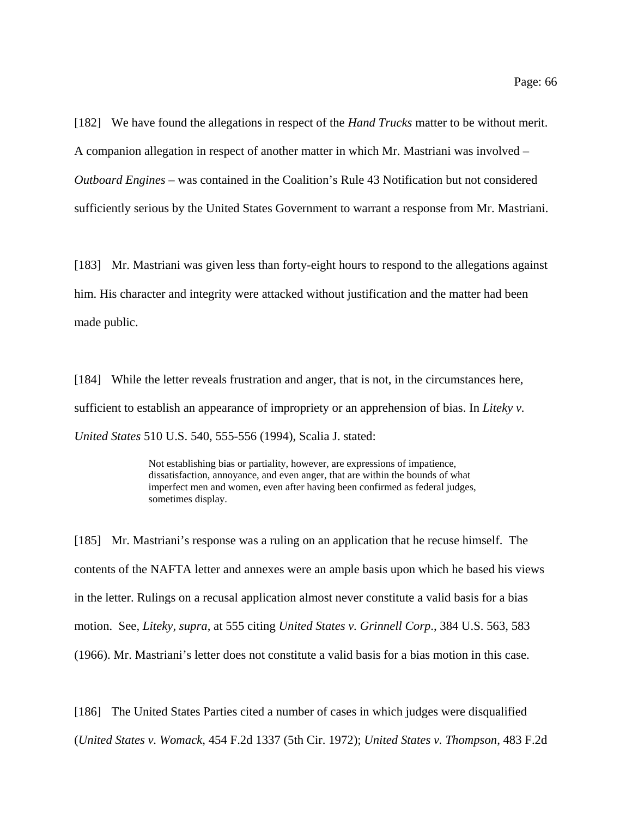[182] We have found the allegations in respect of the *Hand Trucks* matter to be without merit. A companion allegation in respect of another matter in which Mr. Mastriani was involved – *Outboard Engines* – was contained in the Coalition's Rule 43 Notification but not considered sufficiently serious by the United States Government to warrant a response from Mr. Mastriani.

[183] Mr. Mastriani was given less than forty-eight hours to respond to the allegations against him. His character and integrity were attacked without justification and the matter had been made public.

[184] While the letter reveals frustration and anger, that is not, in the circumstances here, sufficient to establish an appearance of impropriety or an apprehension of bias. In *Liteky v. United States* 510 U.S. 540, 555-556 (1994), Scalia J. stated:

> Not establishing bias or partiality, however, are expressions of impatience, dissatisfaction, annoyance, and even anger, that are within the bounds of what imperfect men and women, even after having been confirmed as federal judges, sometimes display.

[185] Mr. Mastriani's response was a ruling on an application that he recuse himself. The contents of the NAFTA letter and annexes were an ample basis upon which he based his views in the letter. Rulings on a recusal application almost never constitute a valid basis for a bias motion. See, *Liteky, supra*, at 555 citing *United States v. Grinnell Corp*., 384 U.S. 563, 583 (1966). Mr. Mastriani's letter does not constitute a valid basis for a bias motion in this case.

[186] The United States Parties cited a number of cases in which judges were disqualified

(*United States v. Womack*, 454 F.2d 1337 (5th Cir. 1972); *United States v. Thompson*, 483 F.2d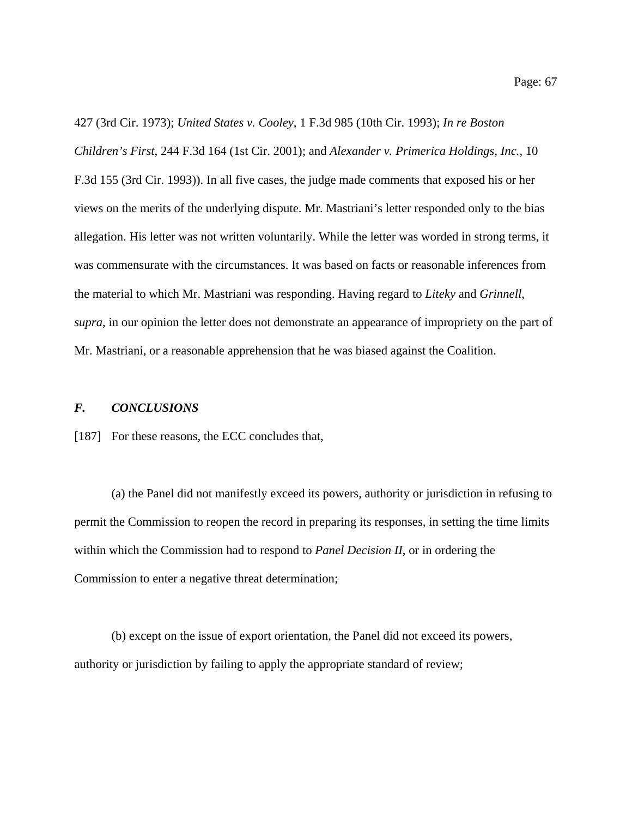427 (3rd Cir. 1973); *United States v. Cooley*, 1 F.3d 985 (10th Cir. 1993); *In re Boston Children's First*, 244 F.3d 164 (1st Cir. 2001); and *Alexander v. Primerica Holdings, Inc.*, 10 F.3d 155 (3rd Cir. 1993)). In all five cases, the judge made comments that exposed his or her views on the merits of the underlying dispute. Mr. Mastriani's letter responded only to the bias allegation. His letter was not written voluntarily. While the letter was worded in strong terms, it was commensurate with the circumstances. It was based on facts or reasonable inferences from the material to which Mr. Mastriani was responding. Having regard to *Liteky* and *Grinnell*, *supra*, in our opinion the letter does not demonstrate an appearance of impropriety on the part of Mr. Mastriani, or a reasonable apprehension that he was biased against the Coalition.

## *F. CONCLUSIONS*

[187] For these reasons, the ECC concludes that,

(a) the Panel did not manifestly exceed its powers, authority or jurisdiction in refusing to permit the Commission to reopen the record in preparing its responses, in setting the time limits within which the Commission had to respond to *Panel Decision II*, or in ordering the Commission to enter a negative threat determination;

(b) except on the issue of export orientation, the Panel did not exceed its powers, authority or jurisdiction by failing to apply the appropriate standard of review;